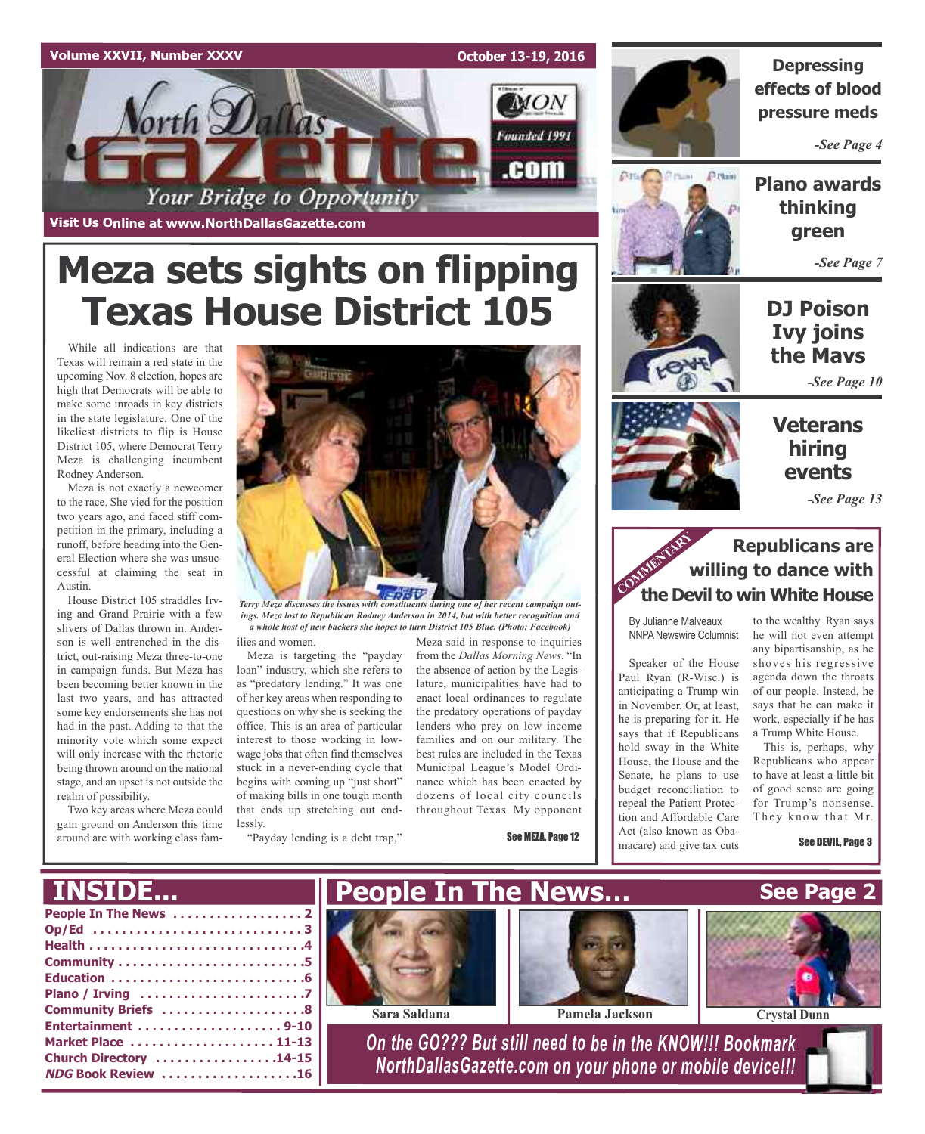

**October 13-19, 2016**

**MON** 

Founded 1991

.com



**Depressing effects of blood pressure meds**

*-See Page 4*

Prisin

**Plano awards thinking green**

*-See Page 7*

## **DJ Poison Ivy joins the Mavs**

*-See Page 10*

## **Veterans hiring events**

*-See Page 13*

## **Republicans are willing to dance with the Devil to win White House**<br> **COMMENTARY**<br> **COMMENTARY**<br> **COMMENTARY**<br> **COMMENTARY**<br> **COMMENTARY**<br> **COMMENTARY**<br> **COMMENTARY**

By Julianne Malveaux NNPA Newswire Columnist

Speaker of the House Paul Ryan (R-Wisc.) is anticipating a Trump win in November. Or, at least, he is preparing for it. He says that if Republicans hold sway in the White House, the House and the Senate, he plans to use budget reconciliation to repeal the Patient Protection and Affordable Care Act (also known as Obamacare) and give tax cuts

to the wealthy. Ryan says he will not even attempt any bipartisanship, as he shoves his regressive agenda down the throats of our people. Instead, he says that he can make it work, especially if he has a Trump White House.

This is, perhaps, why Republicans who appear to have at least a little bit of good sense are going for Trump's nonsense. They know that Mr.

See DEVIL, Page 3

**Meza sets sights on flipping Texas House District 105**

Your Bridge to Opportunity

**Visit Us Online at www.NorthDallasGazette.com**

*Vorth Dallas* 

While all indications are that Texas will remain a red state in the upcoming Nov. 8 election, hopes are high that Democrats will be able to make some inroads in key districts in the state legislature. One of the likeliest districts to flip is House District 105, where Democrat Terry Meza is challenging incumbent Rodney Anderson.

Meza is not exactly a newcomer to the race. She vied for the position two years ago, and faced stiff competition in the primary, including a runoff, before heading into the General Election where she was unsuccessful at claiming the seat in Austin.

House District 105 straddles Irving and Grand Prairie with a few slivers of Dallas thrown in. Anderson is well-entrenched in the district, out-raising Meza three-to-one in campaign funds. But Meza has been becoming better known in the last two years, and has attracted some key endorsements she has not had in the past. Adding to that the minority vote which some expect will only increase with the rhetoric being thrown around on the national stage, and an upset is not outside the realm of possibility.

Two key areas where Meza could gain ground on Anderson this time around are with working class fam-



*Terry Meza discusses the issues with constituents during one of her recent campaign outings. Meza lost to Republican Rodney Anderson in 2014, but with better recognition and a whole host of new backers she hopes to turn District 105 Blue. (Photo: Facebook)*

ilies and women. Meza is targeting the "payday

loan" industry, which she refers to as "predatory lending." It was one of her key areas when responding to questions on why she is seeking the office. This is an area of particular interest to those working in lowwage jobs that often find themselves stuck in a never-ending cycle that begins with coming up "just short" of making bills in one tough month that ends up stretching out endlessly.

"Payday lending is a debt trap,"

Meza said in response to inquiries from the *Dallas Morning News*. "In the absence of action by the Legislature, municipalities have had to enact local ordinances to regulate the predatory operations of payday lenders who prey on low income families and on our military. The best rules are included in the Texas Municipal League's Model Ordinance which has been enacted by dozens of local city councils throughout Texas. My opponent

See MEZA, Page 12

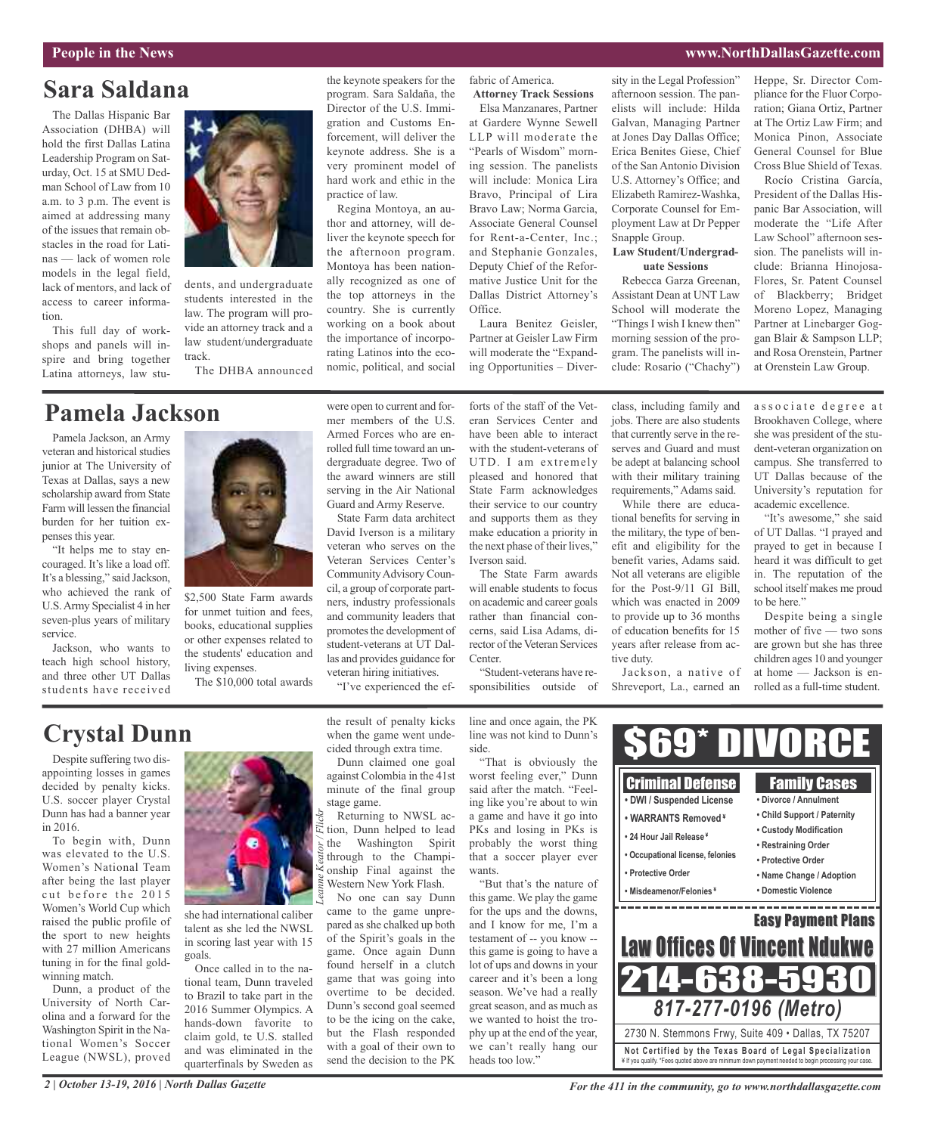## **Sara Saldana**

The Dallas Hispanic Bar Association (DHBA) will hold the first Dallas Latina Leadership Program on Saturday, Oct. 15 at SMU Dedman School of Law from 10 a.m. to 3 p.m. The event is aimed at addressing many of the issues that remain obstacles in the road for Latinas — lack of women role models in the legal field, lack of mentors, and lack of access to career information.

This full day of workshops and panels will inspire and bring together Latina attorneys, law stu-



dents, and undergraduate students interested in the law. The program will provide an attorney track and a law student/undergraduate track.

The DHBA announced

## **Pamela Jackson**

Pamela Jackson, an Army veteran and historical studies junior at The University of Texas at Dallas, says a new scholarship award from State Farm will lessen the financial burden for her tuition expenses this year.

"It helps me to stay encouraged. It's like a load off. It's a blessing," said Jackson, who achieved the rank of U.S.Army Specialist 4 in her seven-plus years of military service.

Jackson, who wants to teach high school history, and three other UT Dallas students have received



\$2,500 State Farm awards for unmet tuition and fees, books, educational supplies or other expenses related to the students' education and living expenses.

The \$10,000 total awards

#### the keynote speakers for the program. Sara Saldaña, the Director of the U.S. Immigration and Customs Enforcement, will deliver the keynote address. She is a very prominent model of hard work and ethic in the practice of law.

Regina Montoya, an author and attorney, will deliver the keynote speech for the afternoon program. Montoya has been nationally recognized as one of the top attorneys in the country. She is currently working on a book about the importance of incorporating Latinos into the economic, political, and social

serving in the Air National Guard and Army Reserve. State Farm data architect David Iverson is a military veteran who serves on the Veteran Services Center's Community Advisory Council, a group of corporate partners, industry professionals and community leaders that promotes the development of student-veterans at UT Dallas and provides guidance for veteran hiring initiatives. "I've experienced the effabric of America. **Attorney Track Sessions**

Elsa Manzanares, Partner at Gardere Wynne Sewell LLP will moderate the "Pearls of Wisdom" morning session. The panelists will include: Monica Lira Bravo, Principal of Lira Bravo Law; Norma Garcia, Associate General Counsel for Rent-a-Center, Inc.; and Stephanie Gonzales, Deputy Chief of the Reformative Justice Unit for the Dallas District Attorney's Office.

Laura Benitez Geisler, Partner at Geisler Law Firm will moderate the "Expanding Opportunities – Diversity in the Legal Profession" afternoon session. The panelists will include: Hilda Galvan, Managing Partner at Jones Day Dallas Office; Erica Benites Giese, Chief of the San Antonio Division U.S. Attorney's Office; and Elizabeth Ramirez-Washka, Corporate Counsel for Employment Law at Dr Pepper Snapple Group.

#### **Law Student/Undergraduate Sessions**

Rebecca Garza Greenan, Assistant Dean at UNT Law School will moderate the "Things I wish I knew then" morning session of the program. The panelists will include: Rosario ("Chachy")

Heppe, Sr. Director Compliance for the Fluor Corporation; Giana Ortiz, Partner at The Ortiz Law Firm; and Monica Pinon, Associate General Counsel for Blue Cross Blue Shield of Texas.

Rocío Cristina García, President of the Dallas Hispanic Bar Association, will moderate the "Life After Law School" afternoon session. The panelists will include: Brianna Hinojosa-Flores, Sr. Patent Counsel of Blackberry; Bridget Moreno Lopez, Managing Partner at Linebarger Goggan Blair & Sampson LLP; and Rosa Orenstein, Partner at Orenstein Law Group.

#### were open to current and former members of the U.S. Armed Forces who are enrolled full time toward an undergraduate degree. Two of the award winners are still forts of the staff of the Veteran Services Center and have been able to interact with the student-veterans of UTD. I am extremely pleased and honored that

State Farm acknowledges their service to our country and supports them as they make education a priority in the next phase of their lives," Iverson said.

The State Farm awards will enable students to focus on academic and career goals rather than financial concerns, said Lisa Adams, director of the Veteran Services Center.

"Student-veterans have responsibilities outside of class, including family and jobs. There are also students that currently serve in the reserves and Guard and must be adept at balancing school with their military training requirements," Adams said.

While there are educational benefits for serving in the military, the type of benefit and eligibility for the benefit varies, Adams said. Not all veterans are eligible for the Post-9/11 GI Bill, which was enacted in 2009 to provide up to 36 months of education benefits for 15 years after release from active duty.

Jackson, a native of Shreveport, La., earned an associate degree at Brookhaven College, where she was president of the student-veteran organization on campus. She transferred to UT Dallas because of the University's reputation for academic excellence.

"It's awesome," she said of UT Dallas. "I prayed and prayed to get in because I heard it was difficult to get in. The reputation of the school itself makes me proud to be here."

Despite being a single mother of five — two sons are grown but she has three children ages 10 and younger at home — Jackson is enrolled as a full-time student.

## **Crystal Dunn**

Despite suffering two disappointing losses in games decided by penalty kicks. U.S. soccer player Crystal Dunn has had a banner year in 2016.

To begin with, Dunn was elevated to the U.S. Women's National Team after being the last player cut before the 2015 Women's World Cup which raised the public profile of the sport to new heights with 27 million Americans tuning in for the final goldwinning match.

Dunn, a product of the University of North Carolina and a forward for the Washington Spirit in the National Women's Soccer League (NWSL), proved



she had international caliber talent as she led the NWSL in scoring last year with 15 goals.

Once called in to the national team, Dunn traveled to Brazil to take part in the 2016 Summer Olympics. A hands-down favorite to claim gold, te U.S. stalled and was eliminated in the quarterfinals by Sweden as

the result of penalty kicks when the game went undecided through extra time.

Dunn claimed one goal against Colombia in the 41st minute of the final group stage game.

Returning to NWSL action, Dunn helped to lead the Washington Spirit through to the Championship Final against the Western New York Flash.

No one can say Dunn came to the game unprepared asshe chalked up both of the Spirit's goals in the game. Once again Dunn found herself in a clutch game that was going into overtime to be decided. Dunn's second goal seemed to be the icing on the cake, but the Flash responded with a goal of their own to send the decision to the PK line and once again, the PK line was not kind to Dunn's side. "That is obviously the

worst feeling ever," Dunn said after the match. "Feeling like you're about to win a game and have it go into PKs and losing in PKs is probably the worst thing that a soccer player ever wants.

"But that's the nature of this game. We play the game for the ups and the downs, and I know for me, I'm a testament of -- you know - this game is going to have a lot of ups and downs in your career and it's been a long season. We've had a really great season, and as much as we wanted to hoist the trophy up at the end of the year, we can't really hang our heads too low."



*2 | October 13-19, 2016 | North Dallas Gazette*

*For the 411 in the community, go to www.northdallasgazette.com*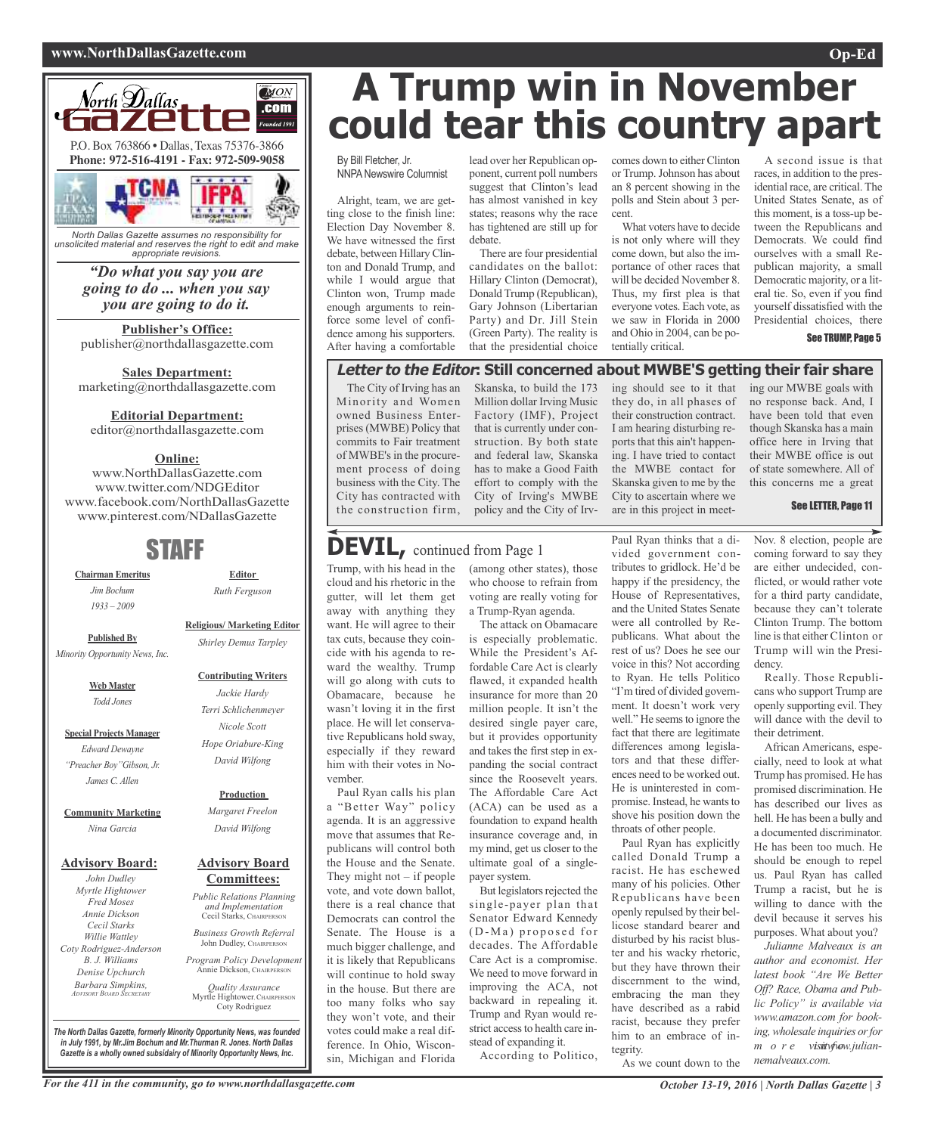#### **www.NorthDallasGazette.com Op-Ed**



*North Dallas Gazette assumes no responsibility for unsolicited material and reserves the right to edit and make appropriate revisions.*

> *"Do what you say you are going to do ... when you say you are going to do it.*

**Publisher's Office:** publisher@northdallasgazette.com

**Sales Department:** marketing@northdallasgazette.com

**Editorial Department:**

editor@northdallasgazette.com

### **Online:**

www.NorthDallasGazette.com www.twitter.com/NDGEditor www.facebook.com/NorthDallasGazette www.pinterest.com/NDallasGazette

## STAFF

**Chairman Emeritus** *Jim Bochum 1933 – 2009*

**Editor** *Ruth Ferguson*

**Published By** *Minority Opportunity News, Inc.*

**Web Master**

**Special Projects Manager** *Edward Dewayne "Preacher Boy"Gibson, Jr.*

*Todd Jones*

*James C. Allen*

**Community Marketing** *Nina Garcia*

## **Advisory Board:**

#### *John Dudley Myrtle Hightower Fred Moses Annie Dickson Cecil Starks Willie Wattley Coty Rodriguez-Anderson B. J. Williams Denise Upchurch*

*Barbara Simpkins, ADVISORY BOARD SECRETARY*

**Religious/ Marketing Editor**

#### **Contributing Writers**

*Jackie Hardy Terri Schlichenmeyer Nicole Scott Hope Oriabure-King David Wilfong*

#### **Production**

*Margaret Freelon David Wilfong*

#### **Advisory Board Committees:**

*Public Relations Planning and Implementation* Cecil Starks, CHAIRPERSON *Business Growth Referral*

John Dudley, CHAIRPERSON *Program Policy Development*

Annie Dickson, CHAIRPERS *Quality Assurance*

Myrtle Hightower, CHAIRPERSON Coty Rodriguez

**A Trump win in November could tear this country apart**

By Bill Fletcher, Jr. **NNPA Newswire Columnist** 

Alright, team, we are getting close to the finish line: Election Day November 8. We have witnessed the first debate, between Hillary Clinton and Donald Trump, and while I would argue that Clinton won, Trump made enough arguments to reinforce some level of confidence among his supporters. After having a comfortable

lead over her Republican opponent, current poll numbers suggest that Clinton's lead has almost vanished in key states; reasons why the race has tightened are still up for debate.

There are four presidential candidates on the ballot: Hillary Clinton (Democrat), Donald Trump (Republican), Gary Johnson (Libertarian Party) and Dr. Jill Stein (Green Party). The reality is that the presidential choice

comes down to either Clinton or Trump.Johnson has about an 8 percent showing in the polls and Stein about 3 percent.

What voters have to decide is not only where will they come down, but also the importance of other races that will be decided November 8. Thus, my first plea is that everyone votes. Each vote, as we saw in Florida in 2000 and Ohio in 2004, can be potentially critical.

A second issue is that races, in addition to the presidential race, are critical. The United States Senate, as of this moment, is a toss-up between the Republicans and Democrats. We could find ourselves with a small Republican majority, a small Democratic majority, or a literal tie. So, even if you find yourself dissatisfied with the Presidential choices, there

#### See TRUMP, Page 5

### **Letter to the Editor: Still concerned about MWBE'S getting their fair share**

The City of Irving has an Minority and Women owned Business Enterprises (MWBE) Policy that commits to Fair treatment of MWBE's in the procurement process of doing business with the City. The City has contracted with the construction firm,

Skanska, to build the 173 Million dollar Irving Music Factory (IMF), Project that is currently under construction. By both state and federal law, Skanska has to make a Good Faith effort to comply with the City of Irving's MWBE policy and the City of Irv-

ing should see to it that they do, in all phases of their construction contract. I am hearing disturbing reports that this ain't happening. I have tried to contact the MWBE contact for Skanska given to me by the City to ascertain where we are in this project in meet-

ing our MWBE goals with no response back. And, I have been told that even though Skanska has a main office here in Irving that their MWBE office is out of state somewhere. All of this concerns me a great

#### See LETTER, Page 11

**DEVIL,** continued from Page <sup>1</sup>

Trump, with his head in the cloud and his rhetoric in the gutter, will let them get away with anything they want. He will agree to their tax cuts, because they coincide with his agenda to reward the wealthy. Trump will go along with cuts to Obamacare, because he wasn't loving it in the first place. He will let conservative Republicans hold sway, especially if they reward him with their votes in November.

Paul Ryan calls his plan a "Better Way" policy agenda. It is an aggressive move that assumes that Republicans will control both the House and the Senate. They might not  $-$  if people vote, and vote down ballot, there is a real chance that Democrats can control the Senate. The House is a much bigger challenge, and it is likely that Republicans will continue to hold sway in the house. But there are too many folks who say they won't vote, and their votes could make a real difference. In Ohio, Wisconsin, Michigan and Florida

(among other states), those who choose to refrain from voting are really voting for a Trump-Ryan agenda.

The attack on Obamacare is especially problematic. While the President's Affordable Care Act is clearly flawed, it expanded health insurance for more than 20 million people. It isn't the desired single payer care, but it provides opportunity and takes the first step in expanding the social contract since the Roosevelt years. The Affordable Care Act (ACA) can be used as a foundation to expand health insurance coverage and, in my mind, get us closer to the ultimate goal of a singlepayer system.

But legislators rejected the single-payer plan that Senator Edward Kennedy (D-Ma) proposed for decades. The Affordable Care Act is a compromise. We need to move forward in improving the ACA, not backward in repealing it. Trump and Ryan would restrict access to health care instead of expanding it.

According to Politico,

Paul Ryan thinks that a divided government contributes to gridlock. He'd be happy if the presidency, the House of Representatives, and the United States Senate were all controlled by Republicans. What about the rest of us? Does he see our voice in this? Not according to Ryan. He tells Politico "I'm tired of divided government. It doesn't work very well." He seems to ignore the fact that there are legitimate differences among legislators and that these differences need to be worked out. He is uninterested in compromise. Instead, he wants to shove his position down the throats of other people.

Paul Ryan has explicitly called Donald Trump a racist. He has eschewed many of his policies. Other Republicans have been openly repulsed by their bellicose standard bearer and disturbed by his racist bluster and his wacky rhetoric, but they have thrown their discernment to the wind, embracing the man they have described as a rabid racist, because they prefer him to an embrace of integrity.

As we count down to the

Nov. 8 election, people are coming forward to say they are either undecided, conflicted, or would rather vote for a third party candidate, because they can't tolerate Clinton Trump. The bottom line isthat either Clinton or Trump will win the Presidency.

Really. Those Republicans who support Trump are openly supporting evil. They will dance with the devil to their detriment.

African Americans, especially, need to look at what Trump has promised. He has promised discrimination. He has described our lives as hell. He has been a bully and a documented discriminator. He has been too much. He should be enough to repel us. Paul Ryan has called Trump a racist, but he is willing to dance with the devil because it serves his purposes. What about you?

*Julianne Malveaux is an author and economist. Her latest book "Are We Better Off? Race, Obama and Public Policy" is available via www.amazon.com for booking,wholesale inquiries orfor m o r e visnitwfwow.juliannemalveaux.com.*

For the 411 in the community, go to www.northdallasgazette.com  $\overline{O}$  October 13-19, 2016 | North Dallas Gazette | 3

*The North Dallas Gazette, formerly Minority Opportunity News, was founded in July 1991, by Mr.Jim Bochum and Mr.Thurman R. Jones. North Dallas Gazette is a wholly owned subsidairy of Minority Opportunity News, Inc.*

*Shirley Demus Tarpley*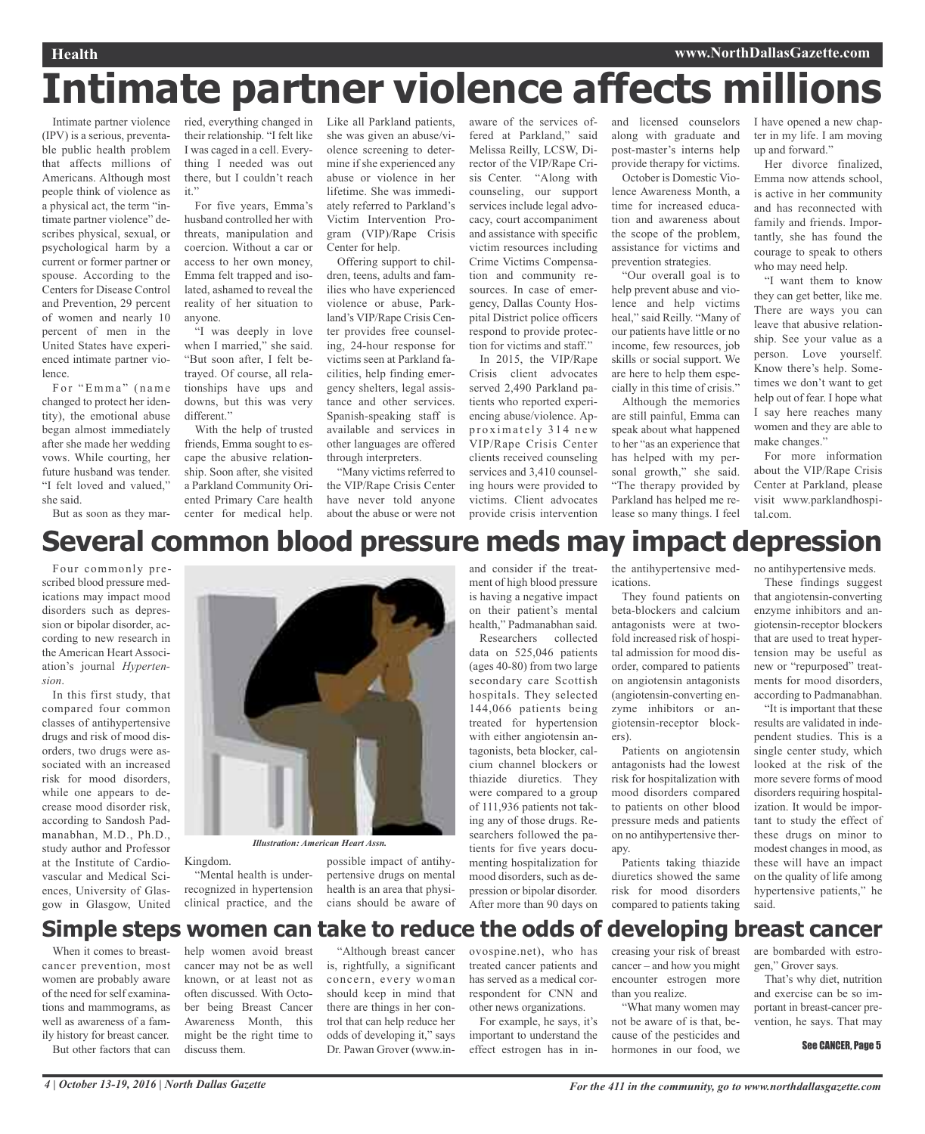# **Intimate partner violence affects millions**

Intimate partner violence (IPV) is a serious, preventable public health problem that affects millions of Americans. Although most people think of violence as a physical act, the term "intimate partner violence" describes physical, sexual, or psychological harm by a current or former partner or spouse. According to the Centers for Disease Control and Prevention, 29 percent of women and nearly 10 percent of men in the United States have experienced intimate partner violence.

For "Emma" (name changed to protect her identity), the emotional abuse began almost immediately after she made her wedding vows. While courting, her future husband was tender. "I felt loved and valued," she said.

But as soon as they mar-

their relationship. "I felt like I was caged in a cell. Everything I needed was out there, but I couldn't reach it."

For five years, Emma's husband controlled her with threats, manipulation and coercion. Without a car or access to her own money, Emma felt trapped and isolated, ashamed to reveal the reality of her situation to anyone.

"I was deeply in love when I married," she said. "But soon after, I felt betrayed. Of course, all relationships have ups and downs, but this was very different."

With the help of trusted friends, Emma sought to escape the abusive relationship. Soon after, she visited a Parkland Community Oriented Primary Care health center for medical help.

ried, everything changed in Like all Parkland patients, she was given an abuse/violence screening to determine if she experienced any abuse or violence in her lifetime. She was immediately referred to Parkland's Victim Intervention Program (VIP)/Rape Crisis Center for help.

Offering support to children, teens, adults and families who have experienced violence or abuse, Parkland's VIP/Rape Crisis Center provides free counseling, 24-hour response for victims seen at Parkland facilities, help finding emergency shelters, legal assistance and other services. Spanish-speaking staff is available and services in other languages are offered through interpreters.

"Many victims referred to the VIP/Rape Crisis Center have never told anyone about the abuse or were not aware of the services offered at Parkland," said Melissa Reilly, LCSW, Director of the VIP/Rape Crisis Center. "Along with counseling, our support services include legal advocacy, court accompaniment and assistance with specific victim resources including Crime Victims Compensation and community resources. In case of emergency, Dallas County Hospital District police officers respond to provide protection for victims and staff."

In 2015, the VIP/Rape Crisis client advocates served 2,490 Parkland patients who reported experiencing abuse/violence. Approximately 314 new VIP/Rape Crisis Center clients received counseling services and 3,410 counseling hours were provided to victims. Client advocates provide crisis intervention

and licensed counselors along with graduate and post-master's interns help provide therapy for victims.

October is Domestic Violence Awareness Month, a time for increased education and awareness about the scope of the problem, assistance for victims and prevention strategies.

"Our overall goal is to help prevent abuse and violence and help victims heal," said Reilly. "Many of our patients have little or no income, few resources, job skills or social support. We are here to help them especially in this time of crisis." Although the memories

are still painful, Emma can speak about what happened to her "as an experience that has helped with my personal growth," she said. "The therapy provided by Parkland has helped me release so many things. I feel

I have opened a new chapter in my life. I am moving up and forward."

Her divorce finalized, Emma now attends school, is active in her community and has reconnected with family and friends. Importantly, she has found the courage to speak to others who may need help.

"I want them to know they can get better, like me. There are ways you can leave that abusive relationship. See your value as a person. Love yourself. Know there's help. Sometimes we don't want to get help out of fear. I hope what I say here reaches many women and they are able to make changes."

For more information about the VIP/Rape Crisis Center at Parkland, please visit www.parklandhospital.com.

## **Several common blood pressure meds may impact depression**

Four commonly prescribed blood pressure medications may impact mood disorders such as depression or bipolar disorder, according to new research in the American Heart Association's journal *Hypertension*.

In this first study, that compared four common classes of antihypertensive drugs and risk of mood disorders, two drugs were associated with an increased risk for mood disorders, while one appears to decrease mood disorder risk, according to Sandosh Padmanabhan, M.D., Ph.D., study author and Professor at the Institute of Cardiovascular and Medical Sciences, University of Glasgow in Glasgow, United



Kingdom.

"Mental health is underrecognized in hypertension clinical practice, and the

possible impact of antihypertensive drugs on mental health is an area that physicians should be aware of and consider if the treatment of high blood pressure is having a negative impact on their patient's mental health," Padmanabhan said.

Researchers collected data on 525,046 patients (ages 40-80) from two large secondary care Scottish hospitals. They selected 144,066 patients being treated for hypertension with either angiotensin antagonists, beta blocker, calcium channel blockers or thiazide diuretics. They were compared to a group of 111,936 patients not taking any of those drugs. Researchers followed the patients for five years documenting hospitalization for mood disorders, such as depression or bipolar disorder. After more than 90 days on

the antihypertensive medications.

They found patients on beta-blockers and calcium antagonists were at twofold increased risk of hospital admission for mood disorder, compared to patients on angiotensin antagonists (angiotensin-converting enzyme inhibitors or angiotensin-receptor blockers).

Patients on angiotensin antagonists had the lowest risk for hospitalization with mood disorders compared to patients on other blood pressure meds and patients on no antihypertensive therapy.

Patients taking thiazide diuretics showed the same risk for mood disorders compared to patients taking no antihypertensive meds.

These findings suggest that angiotensin-converting enzyme inhibitors and angiotensin-receptor blockers that are used to treat hypertension may be useful as new or "repurposed" treatments for mood disorders, according to Padmanabhan.

"It is important that these results are validated in independent studies. This is a single center study, which looked at the risk of the more severe forms of mood disorders requiring hospitalization. It would be important to study the effect of these drugs on minor to modest changes in mood, as these will have an impact on the quality of life among hypertensive patients," he said.

## **Simple steps women can take to reduce the odds of developing breast cancer**

When it comes to breastcancer prevention, most women are probably aware of the need forself examinations and mammograms, as well as awareness of a family history for breast cancer. But other factors that can help women avoid breast cancer may not be as well known, or at least not as often discussed. With October being Breast Cancer Awareness Month, this might be the right time to discuss them.

"Although breast cancer is, rightfully, a significant concern, every woman should keep in mind that there are things in her control that can help reduce her odds of developing it," says Dr. Pawan Grover (www.in-

ovospine.net), who has treated cancer patients and has served as a medical correspondent for CNN and other news organizations.

For example, he says, it's important to understand the effect estrogen has in increasing your risk of breast cancer – and how you might encounter estrogen more than you realize.

"What many women may not be aware of is that, because of the pesticides and hormones in our food, we

are bombarded with estrogen," Grover says.

That's why diet, nutrition and exercise can be so important in breast-cancer prevention, he says. That may

#### See CANCER, Page 5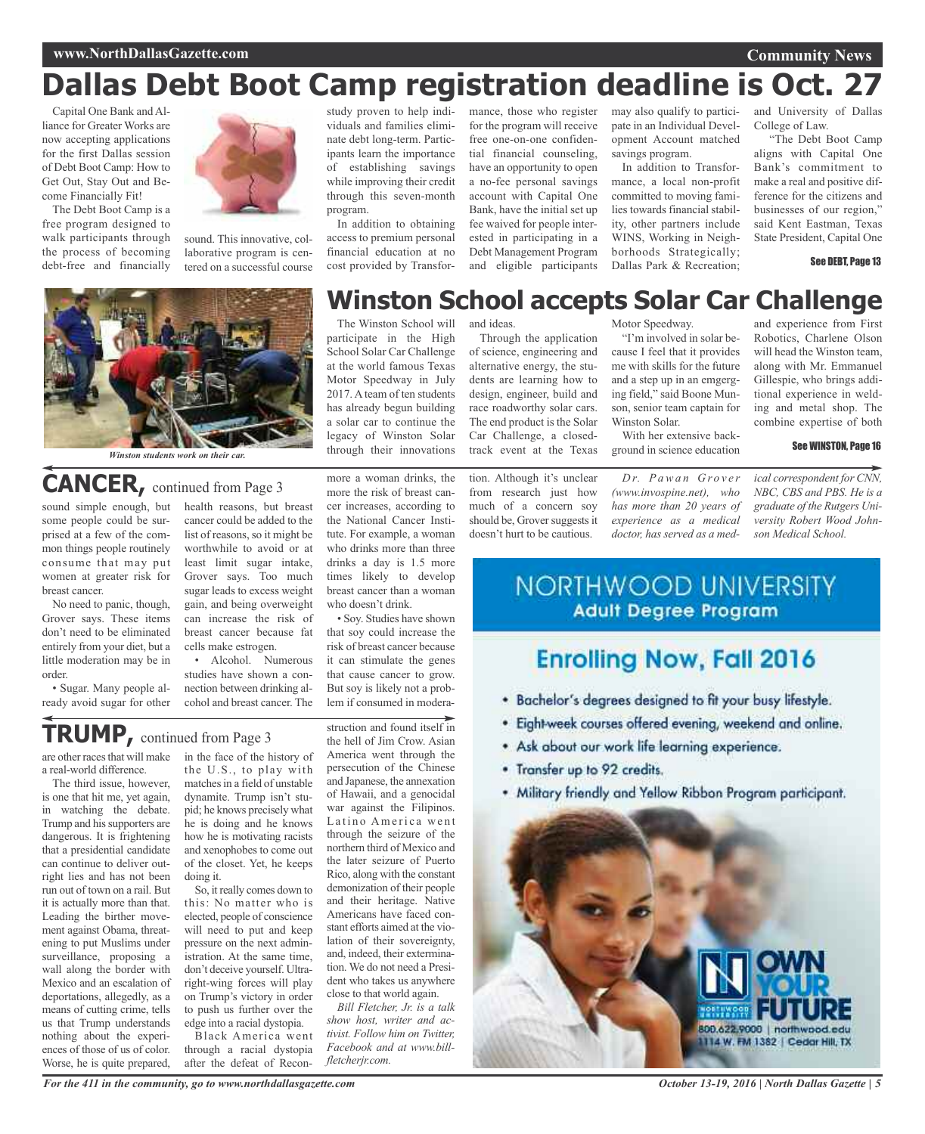# **Dallas Debt Boot Camp registration deadline is Oct. 27**

Capital One Bank and Alliance for Greater Works are now accepting applications for the first Dallas session of Debt Boot Camp: How to Get Out, Stay Out and Become Financially Fit!

The Debt Boot Camp is a free program designed to walk participants through the process of becoming debt-free and financially



sound. This innovative, collaborative program is centered on a successful course



*Winston students work on their car.*

## **CANCER,** continued from Page <sup>3</sup>

some people could be surprised at a few of the common things people routinely consume that may put women at greater risk for breast cancer.

No need to panic, though, Grover says. These items don't need to be eliminated entirely from your diet, but a little moderation may be in order.

• Sugar. Many people already avoid sugar for other

sound simple enough, but health reasons, but breast cancer could be added to the list of reasons, so it might be worthwhile to avoid or at least limit sugar intake, Grover says. Too much sugar leads to excess weight gain, and being overweight can increase the risk of breast cancer because fat cells make estrogen.

• Alcohol. Numerous studies have shown a connection between drinking alcohol and breast cancer. The

## **TRUMP,** continued from Page <sup>3</sup>

are other races that will make a real-world difference.

The third issue, however, is one that hit me, yet again, in watching the debate. Trump and his supporters are dangerous. It is frightening that a presidential candidate can continue to deliver outright lies and has not been run out of town on a rail. But it is actually more than that. Leading the birther movement against Obama, threatening to put Muslims under surveillance, proposing a wall along the border with Mexico and an escalation of deportations, allegedly, as a means of cutting crime, tells us that Trump understands nothing about the experiences of those of us of color. Worse, he is quite prepared,

in the face of the history of the U.S., to play with matches in a field of unstable dynamite. Trump isn't stupid; he knows precisely what he is doing and he knows how he is motivating racists and xenophobes to come out of the closet. Yet, he keeps doing it.

So, it really comes down to this: No matter who is elected, people of conscience will need to put and keep pressure on the next administration. At the same time, don't deceive yourself. Ultraright-wing forces will play on Trump's victory in order to push us further over the edge into a racial dystopia.

Black America went through a racial dystopia after the defeat of Reconstudy proven to help individuals and families eliminate debt long-term. Participants learn the importance of establishing savings while improving their credit through this seven-month program.

In addition to obtaining access to premium personal financial education at no cost provided by Transformance, those who register for the program will receive free one-on-one confidential financial counseling, have an opportunity to open a no-fee personal savings account with Capital One Bank, have the initial set up fee waived for people interested in participating in a Debt Management Program and eligible participants

may also qualify to participate in an Individual Development Account matched savings program.

In addition to Transformance, a local non-profit committed to moving families towards financial stability, other partners include WINS, Working in Neighborhoods Strategically; Dallas Park & Recreation;

and University of Dallas College of Law.

"The Debt Boot Camp aligns with Capital One Bank's commitment to make a real and positive difference for the citizens and businesses of our region," said Kent Eastman, Texas State President, Capital One

See DEBT, Page 13

## **Winston School accepts Solar Car Challenge**

The Winston School will and ideas. participate in the High School Solar Car Challenge at the world famous Texas Motor Speedway in July 2017. A team of ten students has already begun building a solar car to continue the legacy of Winston Solar through their innovations

more a woman drinks, the more the risk of breast cancer increases, according to the National Cancer Institute. For example, a woman who drinks more than three drinks a day is 1.5 more times likely to develop breast cancer than a woman

who doesn't drink. • Soy. Studies have shown that soy could increase the risk of breast cancer because it can stimulate the genes that cause cancer to grow. But soy is likely not a problem if consumed in modera-

struction and found itself in the hell of Jim Crow. Asian America went through the persecution of the Chinese and Japanese, the annexation of Hawaii, and a genocidal war against the Filipinos. Latino America went through the seizure of the northern third of Mexico and the later seizure of Puerto Rico, along with the constant demonization of their people and their heritage. Native

Americans have faced constant efforts aimed at the violation of their sovereignty, and, indeed, their extermination. We do not need a President who takes us anywhere close to that world again.

*Bill Fletcher, Jr. is a talk show host, writer and activist. Follow him on Twitter, Facebook and at www.billfletcherjr.com.*

Through the application of science, engineering and alternative energy, the students are learning how to design, engineer, build and race roadworthy solar cars. The end product is the Solar Car Challenge, a closedtrack event at the Texas

tion. Although it's unclear from research just how much of a concern soy should be, Grover suggests it doesn't hurt to be cautious.

Motor Speedway. "I'm involved in solar because I feel that it provides me with skills for the future and a step up in an emgerging field," said Boone Munson, senior team captain for

With her extensive background in science education

Winston Solar.

*D r. P awa n G ro v e r (www.invospine.net), who has more than 20 years of experience as a medical doctor, has served as a med-*

and experience from First Robotics, Charlene Olson will head the Winston team, along with Mr. Emmanuel Gillespie, who brings additional experience in welding and metal shop. The combine expertise of both

#### See WINSTON, Page 16

*ical correspondent for CNN, NBC, CBS and PBS. He is a graduate of the Rutgers University Robert Wood Johnson Medical School.*

## **NORTHWOOD UNIVERSITY Adult Degree Program**

## **Enrolling Now, Fall 2016**

- . Bachelor's degrees designed to fit your busy lifestyle.
- · Eight-week courses offered evening, weekend and online.
- \* Ask about our work life learning experience.
- . Transfer up to 92 credits.
- · Military friendly and Yellow Ribbon Program participant.

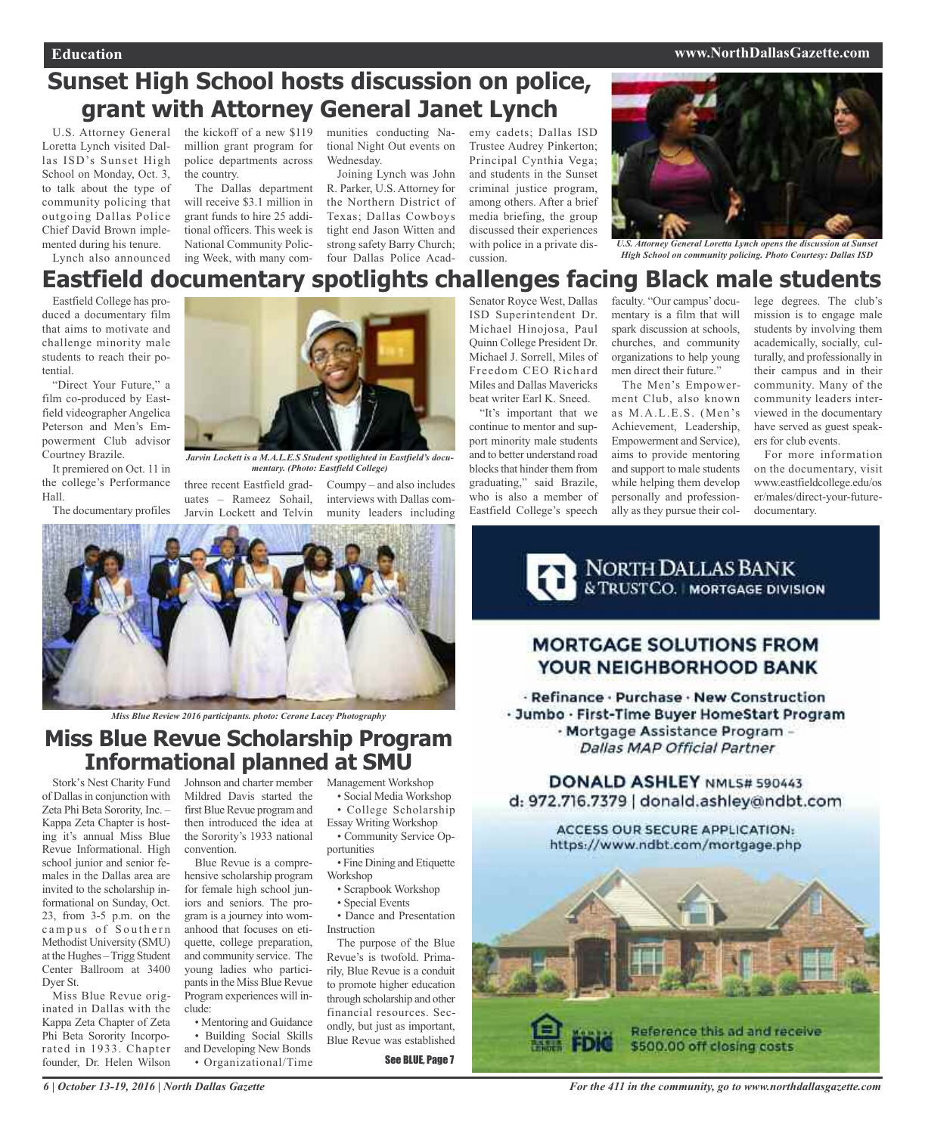#### **Education www.NorthDallasGazette.com**

## **Sunset High School hosts discussion on police, grant with Attorney General Janet Lynch** the kickoff of a new \$119

U.S. Attorney General Loretta Lynch visited Dallas ISD's Sunset High School on Monday, Oct. 3, to talk about the type of community policing that outgoing Dallas Police Chief David Brown implemented during his tenure.

million grant program for police departments across the country. The Dallas department

Lynch also announced ing Week, with many com-four Dallas Police Acadwill receive \$3.1 million in grant funds to hire 25 additional officers. This week is National Community Polic-

munities conducting National Night Out events on Wednesday.

Joining Lynch was John R. Parker, U.S. Attorney for the Northern District of Texas; Dallas Cowboys tight end Jason Witten and strong safety Barry Church; emy cadets; Dallas ISD Trustee Audrey Pinkerton; Principal Cynthia Vega; and students in the Sunset criminal justice program, among others. After a brief media briefing, the group discussed their experiences with police in a private discussion.

ISD Superintendent Dr. Michael Hinojosa, Paul Quinn College President Dr. Michael J. Sorrell, Miles of Freedom CEO Richard Miles and Dallas Mavericks beat writer Earl K. Sneed. "It's important that we continue to mentor and support minority male students and to better understand road blocks that hinder them from graduating," said Brazile, who is also a member of Eastfield College's speech



*U.S. Attorney General Loretta Lynch opens the discussion at Sunset High School on community policing. Photo Courtesy: Dallas ISD*

### **Eastfield documentary spotlights challenges facing Black male students** Senator Royce West, Dallas

Eastfield College has produced a documentary film that aims to motivate and challenge minority male students to reach their potential.

"Direct Your Future," a film co-produced by Eastfield videographer Angelica Peterson and Men's Empowerment Club advisor Courtney Brazile.

It premiered on Oct. 11 in the college's Performance Hall.

The documentary profiles



*Jarvin Lockett is a M.A.L.E.S Student spotlighted in Eastfield's documentary. (Photo: Eastfield College)*

three recent Eastfield graduates – Rameez Sohail, Jarvin Lockett and Telvin

Coumpy – and also includes interviews with Dallas community leaders including



*Miss Blue Review 2016 participants. photo: Cerone Lacey Photography*

### Management Workshop **Miss Blue Revue Scholarship Program Informational planned at SMU**

Stork's Nest Charity Fund of Dallas in conjunction with Zeta Phi Beta Sorority, Inc. – Kappa Zeta Chapter is hosting it's annual Miss Blue Revue Informational. High school junior and senior females in the Dallas area are invited to the scholarship informational on Sunday, Oct. 23, from 3-5 p.m. on the campus of Southern Methodist University (SMU) at the Hughes –Trigg Student Center Ballroom at 3400 Dyer St.

Miss Blue Revue originated in Dallas with the Kappa Zeta Chapter of Zeta Phi Beta Sorority Incorporated in 1933. Chapter founder, Dr. Helen Wilson

Johnson and charter member Mildred Davis started the first Blue Revue program and then introduced the idea at the Sorority's 1933 national convention.

Blue Revue is a comprehensive scholarship program for female high school juniors and seniors. The program is a journey into womanhood that focuses on etiquette, college preparation, and community service. The young ladies who participants in the Miss Blue Revue Program experiences will include:

• Mentoring and Guidance • Building Social Skills

- 
- and Developing New Bonds
	- Organizational/Time

• Dance and Presentation Instruction The purpose of the Blue

• Social Media Workshop • College Scholarship Essay Writing Workshop • Community Service Op-

• Fine Dining and Etiquette

• Scrapbook Workshop • Special Events

portunities

Workshop

Revue's is twofold. Primarily, Blue Revue is a conduit to promote higher education through scholarship and other financial resources. Secondly, but just as important, Blue Revue was established

See BLUE, Page 7

faculty. "Our campus' documentary is a film that will spark discussion at schools, churches, and community organizations to help young men direct their future."

The Men's Empowerment Club, also known as M.A.L.E.S. (Men's Achievement, Leadership, Empowerment and Service), aims to provide mentoring and support to male students while helping them develop personally and professionally as they pursue their college degrees. The club's mission is to engage male students by involving them academically, socially, culturally, and professionally in their campus and in their community. Many of the community leaders interviewed in the documentary have served as guest speakers for club events.

For more information on the documentary, visit www.eastfieldcollege.edu/os er/males/direct-your-futuredocumentary.

NORTH DALLAS BANK

### **MORTGAGE SOLUTIONS FROM** YOUR NEIGHBORHOOD BANK

· Refinance · Purchase · New Construction · Jumbo · First-Time Buyer HomeStart Program - Mortgage Assistance Program -**Dallas MAP Official Partner** 

DONALD ASHLEY NML5# 590443 d: 972.716.7379 | donald.ashley@ndbt.com

> **ACCESS OUR SECURE APPLICATION:** https://www.ndbt.com/mortgage.php

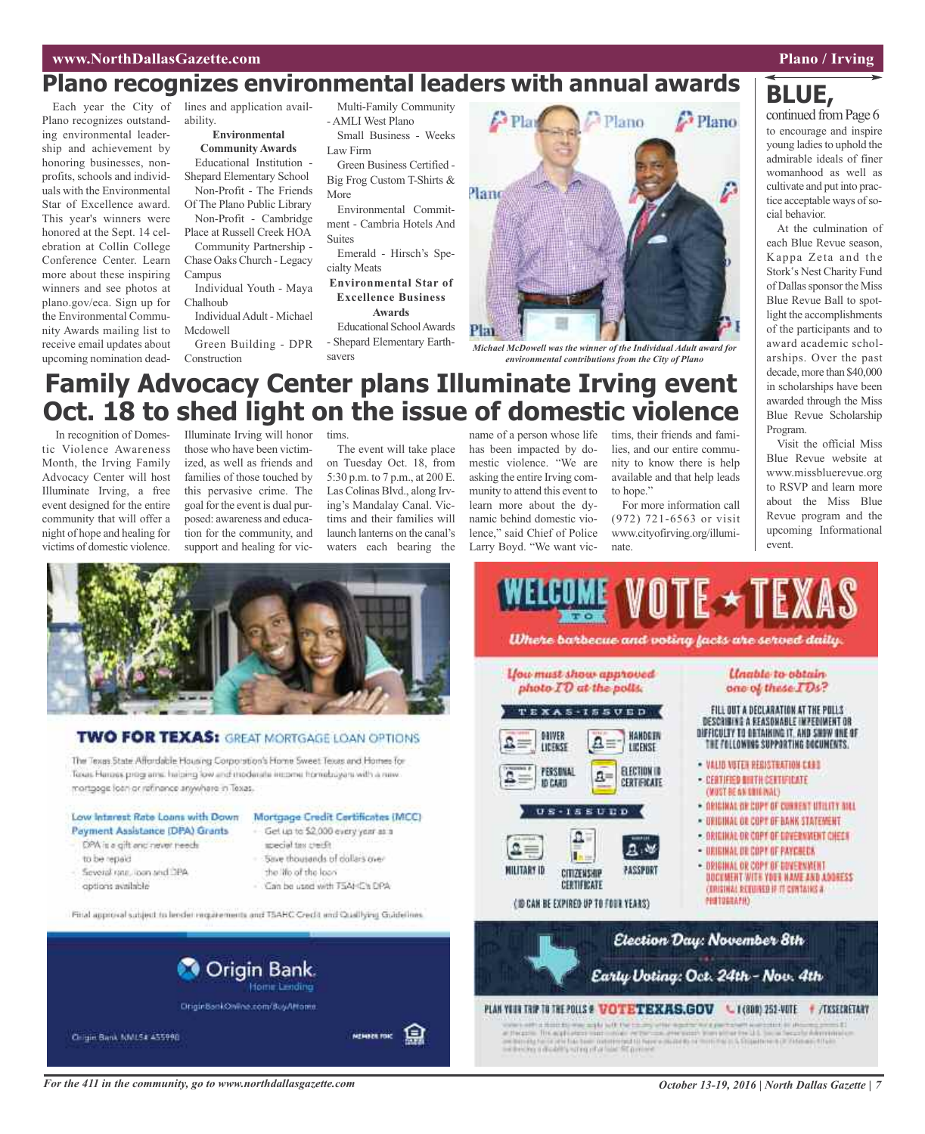**BLUE,**

## **Plano recognizes environmental leaders with annual awards**

Plano recognizes outstanding environmental leadership and achievement by honoring businesses, nonprofits, schools and individuals with the Environmental Star of Excellence award. This year's winners were honored at the Sept. 14 celebration at Collin College Conference Center. Learn more about these inspiring winners and see photos at plano.gov/eca. Sign up for the Environmental Community Awards mailing list to receive email updates about upcoming nomination deadability.

**Environmental Community Awards**

Educational Institution - Shepard Elementary School Non-Profit - The Friends

Of The Plano Public Library Non-Profit - Cambridge Place at Russell Creek HOA

Community Partnership - Chase Oaks Church - Legacy Campus

Individual Youth - Maya Chalhoub

Individual Adult - Michael Mcdowell

Green Building - DPR Construction

Multi-Family Community - AMLI West Plano Small Business - Weeks

Law Firm

Green Business Certified - Big Frog Custom T-Shirts & More

Environmental Commitment - Cambria Hotels And Suites

Emerald - Hirsch's Specialty Meats

**Environmental Star of Excellence Business Awards**

Educational SchoolAwards - Shepard Elementary Earthsavers



*Michael McDowell was the winner of the Individual Adult award for environmental contributions from the City of Plano*

## **Family Advocacy Center plans Illuminate Irving event Oct. 18 to shed light on the issue of domestic violence**

In recognition of Domestic Violence Awareness Month, the Irving Family Advocacy Center will host Illuminate Irving, a free event designed for the entire community that will offer a night of hope and healing for victims of domestic violence.

Illuminate Irving will honor those who have been victimized, as well as friends and families of those touched by this pervasive crime. The goal for the event is dual purposed: awareness and education for the community, and support and healing for vic-

tims.

The event will take place on Tuesday Oct. 18, from 5:30 p.m. to 7 p.m., at 200 E. Las Colinas Blvd., along Irving's Mandalay Canal. Victims and their families will launch lanterns on the canal's waters each bearing the

name of a person whose life has been impacted by domestic violence. "We are asking the entire Irving community to attend this event to learn more about the dynamic behind domestic violence," said Chief of Police Larry Boyd. "We want vic-

tims, their friends and families, and our entire community to know there is help available and that help leads to hope."

For more information call (972) 721-6563 or visit www.cityofirving.org/illuminate.

to encourage and inspire young ladies to uphold the admirable ideals of finer womanhood as well as cultivate and put into practice acceptable ways of social behavior.

At the culmination of each Blue Revue season, Kappa Zeta and the Stork's Nest Charity Fund of Dallas sponsor the Miss Blue Revue Ball to spotlight the accomplishments of the participants and to award academic scholarships. Over the past decade, more than \$40,000 in scholarships have been awarded through the Miss Blue Revue Scholarship Program.

Visit the official Miss Blue Revue website at www.missbluerevue.org to RSVP and learn more about the Miss Blue Revue program and the upcoming Informational event.



### **TWO FOR TEXAS: GREAT MORTGAGE LOAN OPTIONS**

The Texas State Affordable Housing Corporation's Home Sweet Texas and Homes for Tours Henoes programs: habing low and moderate expres homeboyars with a new mortgage foan ac retinence anywhere in Texas.

### Low Interest Rate Loans with Down

- Payment Assistance (DPA) Grants DPA is a gift and never needs
- to be repaid.
- Several rate, loan and DPA
- options available
- Mortgage Credit Certificates (MCC) Get up to \$2,000 every year as a
- special tax credit Save thousands of dollars over
- the life of the loan
- Can be used with T5AHC's DPA

Final approval subject to herder requirements and TSAHC Credit and Qualifying Guidelines.



For the 411 in the community, go to www.northdallasgazette.com Contact Contact Contact Contact Contact Contact Contact Contact Contact Contact Contact Contact Contact Contact Contact Contact Contact Contact Contact Contact

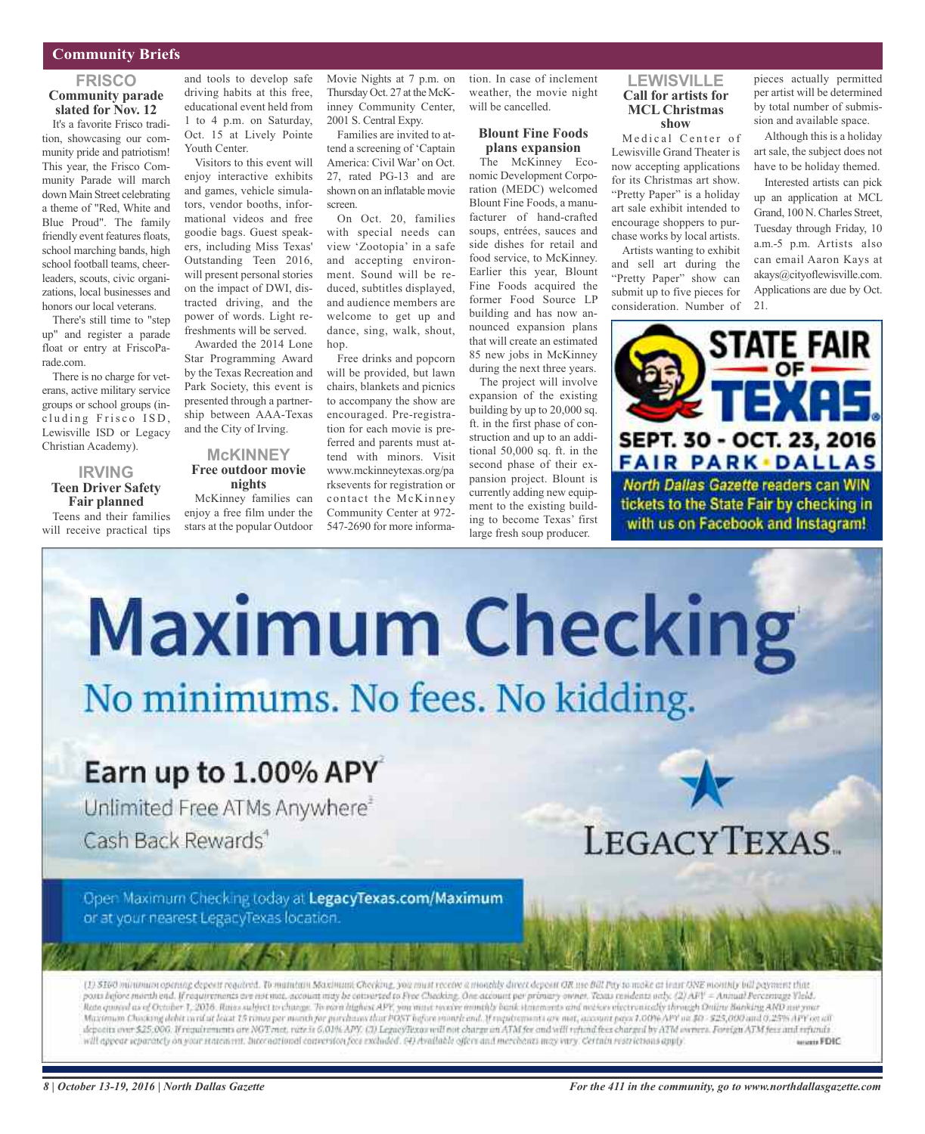#### **Community Briefs**

#### **FRISCO Community parade slated for Nov. 12**

It's a favorite Frisco tradition, showcasing our community pride and patriotism! This year, the Frisco Community Parade will march down Main Street celebrating a theme of "Red, White and Blue Proud". The family friendly event features floats, school marching bands, high school football teams, cheerleaders, scouts, civic organizations, local businesses and honors our local veterans.

There's still time to "step up" and register a parade float or entry at FriscoParade.com.

There is no charge for veterans, active military service groups or school groups (including Frisco ISD, Lewisville ISD or Legacy Christian Academy).

#### **IRVING Teen Driver Safety Fair planned** Teens and their families

will receive practical tips

and tools to develop safe driving habits at this free, educational event held from 1 to 4 p.m. on Saturday, Oct. 15 at Lively Pointe Youth Center.

Visitors to this event will enjoy interactive exhibits and games, vehicle simulators, vendor booths, informational videos and free goodie bags. Guest speakers, including Miss Texas' Outstanding Teen 2016, will present personal stories on the impact of DWI, distracted driving, and the power of words. Light refreshments will be served.

Awarded the 2014 Lone Star Programming Award by the Texas Recreation and Park Society, this event is presented through a partnership between AAA-Texas and the City of Irving.

#### **McKINNEY Free outdoor movie nights**

McKinney families can enjoy a free film under the stars at the popular Outdoor

Movie Nights at 7 p.m. on Thursday Oct. 27 at the McKinney Community Center, 2001 S. Central Expy.

Families are invited to attend a screening of 'Captain America: Civil War' on Oct. 27, rated PG-13 and are shown on an inflatable movie screen.

On Oct. 20, families with special needs can view 'Zootopia' in a safe and accepting environment. Sound will be reduced, subtitles displayed, and audience members are welcome to get up and dance, sing, walk, shout, hop.

Free drinks and popcorn will be provided, but lawn chairs, blankets and picnics to accompany the show are encouraged. Pre-registration for each movie is preferred and parents must attend with minors. Visit www.mckinneytexas.org/pa rksevents for registration or contact the McKinney Community Center at 972- 547-2690 for more information. In case of inclement weather, the movie night will be cancelled.

#### **Blount Fine Foods plans expansion**

The McKinney Economic Development Corporation (MEDC) welcomed Blount Fine Foods, a manufacturer of hand-crafted soups, entrées, sauces and side dishes for retail and food service, to McKinney. Earlier this year, Blount Fine Foods acquired the former Food Source LP building and has now announced expansion plans that will create an estimated 85 new jobs in McKinney during the next three years.

The project will involve expansion of the existing building by up to 20,000 sq. ft. in the first phase of construction and up to an additional 50,000 sq. ft. in the second phase of their expansion project. Blount is currently adding new equipment to the existing building to become Texas' first large fresh soup producer.

**LEWISVILLE Call for artists for MCL Christmas show**

Medical Center of Lewisville Grand Theater is now accepting applications for its Christmas art show. "Pretty Paper" is a holiday art sale exhibit intended to encourage shoppers to purchase works by local artists.

Artists wanting to exhibit and sell art during the "Pretty Paper" show can submit up to five pieces for consideration. Number of pieces actually permitted per artist will be determined by total number of submission and available space.

Although this is a holiday art sale, the subject does not have to be holiday themed.

Interested artists can pick up an application at MCL Grand, 100 N.Charles Street, Tuesday through Friday, 10 a.m.-5 p.m. Artists also can email Aaron Kays at akays@cityoflewisville.com. Applications are due by Oct. 21.





posts before morth end. If requirements are not mot, account may be converted to Free Checking. One account per primary owner, Texas residents only. (2) AFV = Annual Percentage Vleid. Rate quand as of October 1, 2016. Rates subject to change. To earn highest APE, you must receive monthly basik statements and meker electronically through Online Banking AND ass your Maximum Chocking debit card at beat 15 ronorper month for porchases that POST hefore month and, if requirements are not, account pays 1.00% APY on \$0 - \$25,000 and 0.25% APY on all deposits over \$25.000. If requirements are NOT mot, rate is 6,01% APY. (3) LegacyTexas will not charge an ATM for and will refund foot charge it by ATM owners. Foreign ATM foot and refunds will appear reparately on your statement. International conversion focus excluded. (4) Available offers and merchants may vary. Certain restrictions apply. severa FDIC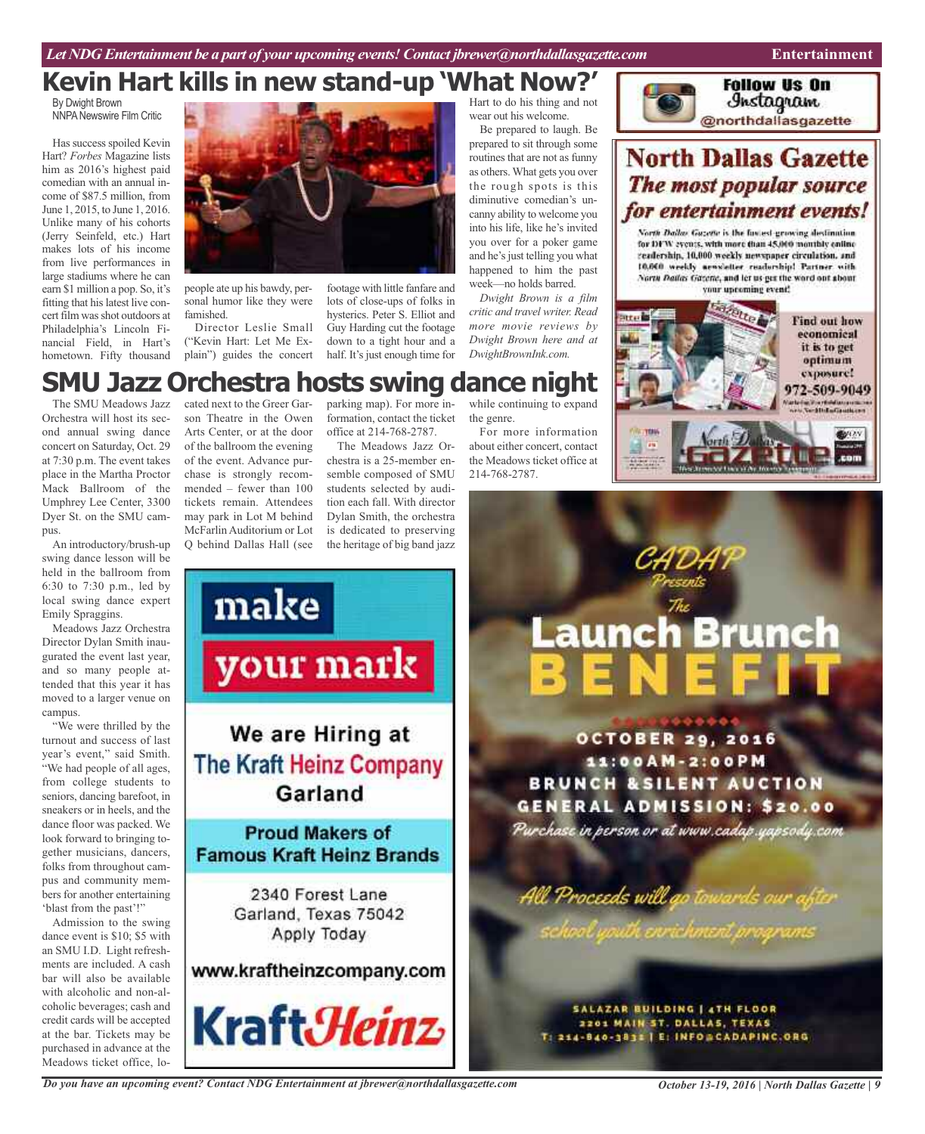## **Kevin Hart kills in new stand-up 'What Now?'**

By Dwight Brown NNPA Newswire Film Critic

Has success spoiled Kevin Hart? *Forbes* Magazine lists him as 2016's highest paid comedian with an annual income of \$87.5 million, from June 1, 2015, to June 1, 2016. Unlike many of his cohorts (Jerry Seinfeld, etc.) Hart makes lots of his income from live performances in large stadiums where he can earn \$1 million a pop. So, it's fitting that hislatest live concert film was shot outdoors at Philadelphia's Lincoln Financial Field, in Hart's hometown. Fifty thousand



people ate up his bawdy, personal humor like they were famished.

Director Leslie Small ("Kevin Hart: Let Me Explain") guides the concert

footage with little fanfare and lots of close-ups of folks in hysterics. Peter S. Elliot and Guy Harding cut the footage down to a tight hour and a half. It's just enough time for Hart to do his thing and not wear out his welcome.

Be prepared to laugh. Be prepared to sit through some routines that are not as funny as others.What gets you over the rough spots is this diminutive comedian's uncanny ability to welcome you into his life, like he's invited you over for a poker game and he's just telling you what happened to him the past week—no holds barred.

*Dwight Brown is a film critic and travel writer. Read more movie reviews by Dwight Brown here and at DwightBrownInk.com.*



## **North Dallas Gazette** The most popular source for entertainment events!

North Dallas Gazette is the fastest growing destination for DFW events, with more than 45,000 monthly entine readership, 10,000 weekly newypaper circulation, and 10.000 weekly aewsletter readership! Partner with North Dailas Gazette, and let us get the word out about your upcoming event!



### parking map). For more in-**SMU Jazz Orchestra hosts swing dance night**

The SMU Meadows Jazz Orchestra will host its second annual swing dance concert on Saturday, Oct. 29 at 7:30 p.m. The event takes place in the Martha Proctor Mack Ballroom of the Umphrey Lee Center, 3300 Dyer St. on the SMU campus.

An introductory/brush-up swing dance lesson will be held in the ballroom from 6:30 to 7:30 p.m., led by local swing dance expert Emily Spraggins.

Meadows Jazz Orchestra Director Dylan Smith inaugurated the event last year, and so many people attended that this year it has moved to a larger venue on campus.

"We were thrilled by the turnout and success of last year's event," said Smith. "We had people of all ages, from college students to seniors, dancing barefoot, in sneakers or in heels, and the dance floor was packed. We look forward to bringing together musicians, dancers, folks from throughout campus and community members for another entertaining 'blast from the past'!"

Admission to the swing dance event is \$10; \$5 with an SMU I.D. Light refreshments are included. A cash bar will also be available with alcoholic and non-alcoholic beverages; cash and credit cards will be accepted at the bar. Tickets may be purchased in advance at the Meadows ticket office, lo-

cated next to the Greer Garson Theatre in the Owen Arts Center, or at the door of the ballroom the evening of the event. Advance purchase is strongly recommended – fewer than 100 tickets remain. Attendees may park in Lot M behind McFarlin Auditorium or Lot Q behind Dallas Hall (see

*Do you have an upcoming event? Contact NDG Entertainment at jbrewer@northdallasgazette.com*

formation, contact the ticket office at 214-768-2787.

The Meadows Jazz Orchestra is a 25-member ensemble composed of SMU students selected by audition each fall. With director Dylan Smith, the orchestra is dedicated to preserving the heritage of big band jazz

while continuing to expand the genre. For more information

about either concert, contact the Meadows ticket office at 214-768-2787.



*October 13-19, 2016 | North Dallas Gazette | 9*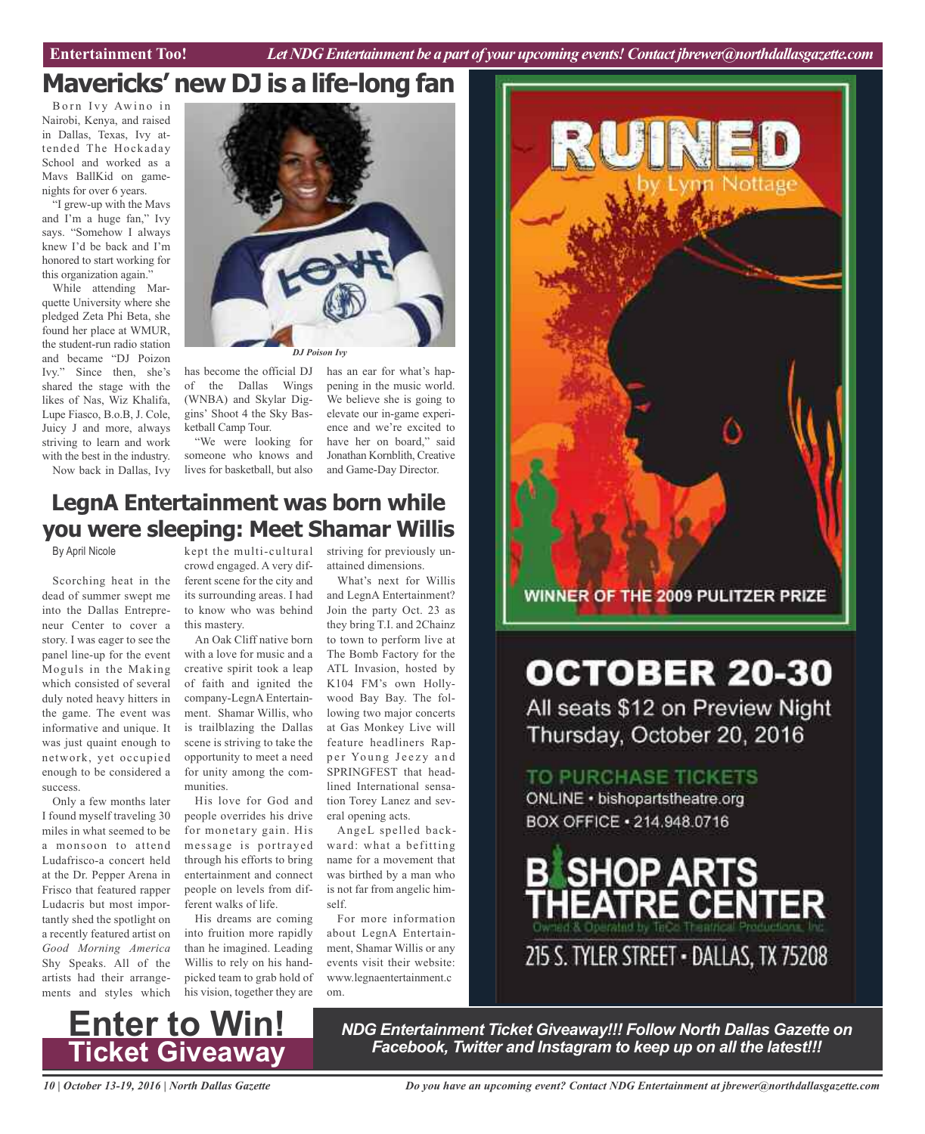## **Mavericks' new DJ is a life-long fan**

Born Ivy Awino in Nairobi, Kenya, and raised in Dallas, Texas, Ivy attended The Hockaday School and worked as a Mavs BallKid on gamenights for over 6 years.

"I grew-up with the Mavs and I'm a huge fan," Ivy says. "Somehow I always knew I'd be back and I'm honored to start working for this organization again."

While attending Marquette University where she pledged Zeta Phi Beta, she found her place at WMUR, the student-run radio station and became "DJ Poizon Ivy." Since then, she's shared the stage with the likes of Nas, Wiz Khalifa, Lupe Fiasco, B.o.B, J. Cole, Juicy J and more, always striving to learn and work with the best in the industry. Now back in Dallas, Ivy



has become the official DJ of the Dallas Wings (WNBA) and Skylar Diggins' Shoot 4 the Sky Basketball Camp Tour.

"We were looking for someone who knows and lives for basketball, but also

has an ear for what's happening in the music world. We believe she is going to elevate our in-game experience and we're excited to have her on board," said Jonathan Kornblith, Creative and Game-Day Director.

## **LegnA Entertainment was born while you were sleeping: Meet Shamar Willis**

By April Nicole

Scorching heat in the dead of summer swept me into the Dallas Entrepreneur Center to cover a story. I was eager to see the panel line-up for the event Moguls in the Making which consisted of several duly noted heavy hitters in the game. The event was informative and unique. It was just quaint enough to network, yet occupied enough to be considered a success.

Only a few months later I found myself traveling 30 miles in what seemed to be a monsoon to attend Ludafrisco-a concert held at the Dr. Pepper Arena in Frisco that featured rapper Ludacris but most importantly shed the spotlight on a recently featured artist on *Good Morning America* Shy Speaks. All of the artists had their arrangements and styles which

crowd engaged. A very different scene for the city and its surrounding areas. I had to know who was behind this mastery.

An Oak Cliff native born with a love for music and a creative spirit took a leap of faith and ignited the K104 FM's own Hollycompany-LegnA Entertainment. Shamar Willis, who is trailblazing the Dallas scene is striving to take the opportunity to meet a need for unity among the communities.

His love for God and people overrides his drive for monetary gain. His message is portrayed through his efforts to bring entertainment and connect people on levels from different walks of life.

His dreams are coming into fruition more rapidly than he imagined. Leading Willis to rely on his handpicked team to grab hold of his vision, together they are

kept the multi-cultural striving for previously unattained dimensions.

> What's next for Willis and LegnA Entertainment? Join the party Oct. 23 as they bring T.I. and 2Chainz to town to perform live at The Bomb Factory for the ATL Invasion, hosted by wood Bay Bay. The following two major concerts at Gas Monkey Live will feature headliners Rapper Young Jeezy and SPRINGFEST that headlined International sensation Torey Lanez and several opening acts.

AngeL spelled backward: what a befitting name for a movement that was birthed by a man who is not far from angelic himself.

For more information about LegnA Entertainment, Shamar Willis or any events visit their website: www.legnaentertainment.c om.



WINNER OF THE 2009 PULITZER PRIZE

# **OCTOBER 20-30**

All seats \$12 on Preview Night Thursday, October 20, 2016

TO PURCHASE TICKETS ONLINE · bishopartstheatre.org BOX OFFICE · 214.948.0716





*NDG Entertainment Ticket Giveaway!!! Follow North Dallas Gazette on Facebook, Twitter and Instagram to keep up on all the latest!!!*

*10 | October 13-19, 2016 | North Dallas Gazette*

*Do you have an upcoming event? Contact NDG Entertainment at jbrewer@northdallasgazette.com*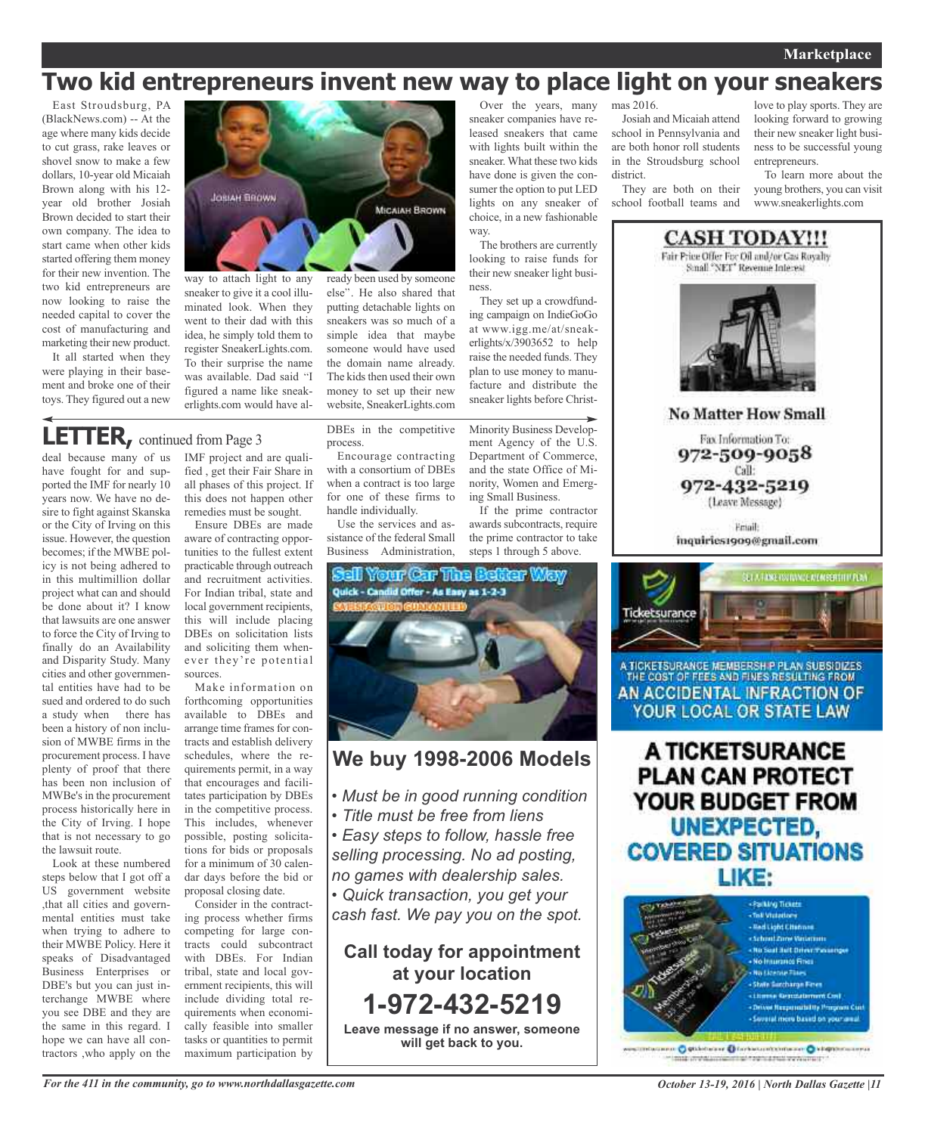### **Marketplace**

## **Two kid entrepreneurs invent new way to place light on your sneakers**

way.

ness.

Over the years, many sneaker companies have released sneakers that came with lights built within the sneaker. What these two kids have done is given the consumer the option to put LED lights on any sneaker of choice, in a new fashionable

The brothers are currently looking to raise funds for their new sneaker light busi-

They set up a crowdfunding campaign on IndieGoGo at www.igg.me/at/sneakerlights/x/3903652 to help raise the needed funds. They plan to use money to manufacture and distribute the sneaker lights before Christ-

Minority Business Development Agency of the U.S. Department of Commerce, and the state Office of Minority, Women and Emerging Small Business.

If the prime contractor awards subcontracts, require the prime contractor to take steps 1 through 5 above.

East Stroudsburg, PA (BlackNews.com) -- At the age where many kids decide to cut grass, rake leaves or shovel snow to make a few dollars, 10-year old Micaiah Brown along with his 12 year old brother Josiah Brown decided to start their own company. The idea to start came when other kids started offering them money for their new invention. The two kid entrepreneurs are now looking to raise the needed capital to cover the cost of manufacturing and marketing their new product.

It all started when they were playing in their basement and broke one of their toys. They figured out a new



minated look. When they went to their dad with this idea, he simply told them to register SneakerLights.com. To their surprise the name was available. Dad said "I figured a name like sneakerlights.com would have al-

## **LETTER,** continued from Page <sup>3</sup>

deal because many of us have fought for and supported the IMF for nearly 10 years now. We have no desire to fight against Skanska or the City of Irving on this issue. However, the question becomes; if the MWBE policy is not being adhered to in this multimillion dollar project what can and should be done about it? I know that lawsuits are one answer to force the City of Irving to finally do an Availability and Disparity Study. Many cities and other governmental entities have had to be sued and ordered to do such a study when there has been a history of non inclusion of MWBE firms in the procurement process. I have plenty of proof that there has been non inclusion of MWBe's in the procurement process historically here in the City of Irving. I hope that is not necessary to go the lawsuit route.

Look at these numbered steps below that I got off a US government website ,that all cities and governmental entities must take when trying to adhere to their MWBE Policy. Here it speaks of Disadvantaged Business Enterprises or DBE's but you can just interchange MWBE where you see DBE and they are the same in this regard. I hope we can have all contractors ,who apply on the IMF project and are qualified , get their Fair Share in all phases of this project. If this does not happen other remedies must be sought.

Ensure DBEs are made aware of contracting opportunities to the fullest extent practicable through outreach and recruitment activities. For Indian tribal, state and local government recipients, this will include placing DBEs on solicitation lists and soliciting them whenever they're potential sources.

Make information on forthcoming opportunities available to DBEs and arrange time frames for contracts and establish delivery schedules, where the requirements permit, in a way that encourages and facilitates participation by DBEs in the competitive process. This includes, whenever possible, posting solicitations for bids or proposals for a minimum of 30 calendar days before the bid or proposal closing date.

Consider in the contracting process whether firms competing for large contracts could subcontract with DBEs. For Indian tribal, state and local government recipients, this will include dividing total requirements when economically feasible into smaller tasks or quantities to permit maximum participation by

DBEs in the competitive process.

putting detachable lights on sneakers was so much of a simple idea that maybe someone would have used the domain name already. The kids then used their own money to set up their new website, SneakerLights.com

Encourage contracting with a consortium of DBEs when a contract is too large for one of these firms to handle individually.

Use the services and assistance of the federal Small Business Administration,



### **We buy 1998-2006 Models**

- *• Must be in good running condition*
- *• Title must be free from liens*
- *• Easy steps to follow, hassle free selling processing. No ad posting, no games with dealership sales.*

*• Quick transaction, you get your cash fast. We pay you on the spot.*

**Call today for appointment at your location 1-972-432-5219 Leave message if no answer, someone will get back to you.**

mas 2016.

Josiah and Micaiah attend school in Pennsylvania and are both honor roll students in the Stroudsburg school district.

They are both on their school football teams and

love to play sports. They are looking forward to growing their new sneaker light business to be successful young entrepreneurs.

To learn more about the young brothers, you can visit www.sneakerlights.com



THE COST OF FEES AND FINES RESULTING FROM AN ACCIDENTAL INFRACTION OF YOUR LOCAL OR STATE LAW

A TICKETSURANCE **PLAN CAN PROTECT** YOUR BUDGET FROM **UNEXPECTED, COVERED SITUATIONS** LIKE:



dacanno O Stidobala e O forbatual contacto O kingidometerus million who committed to the diffusion of the track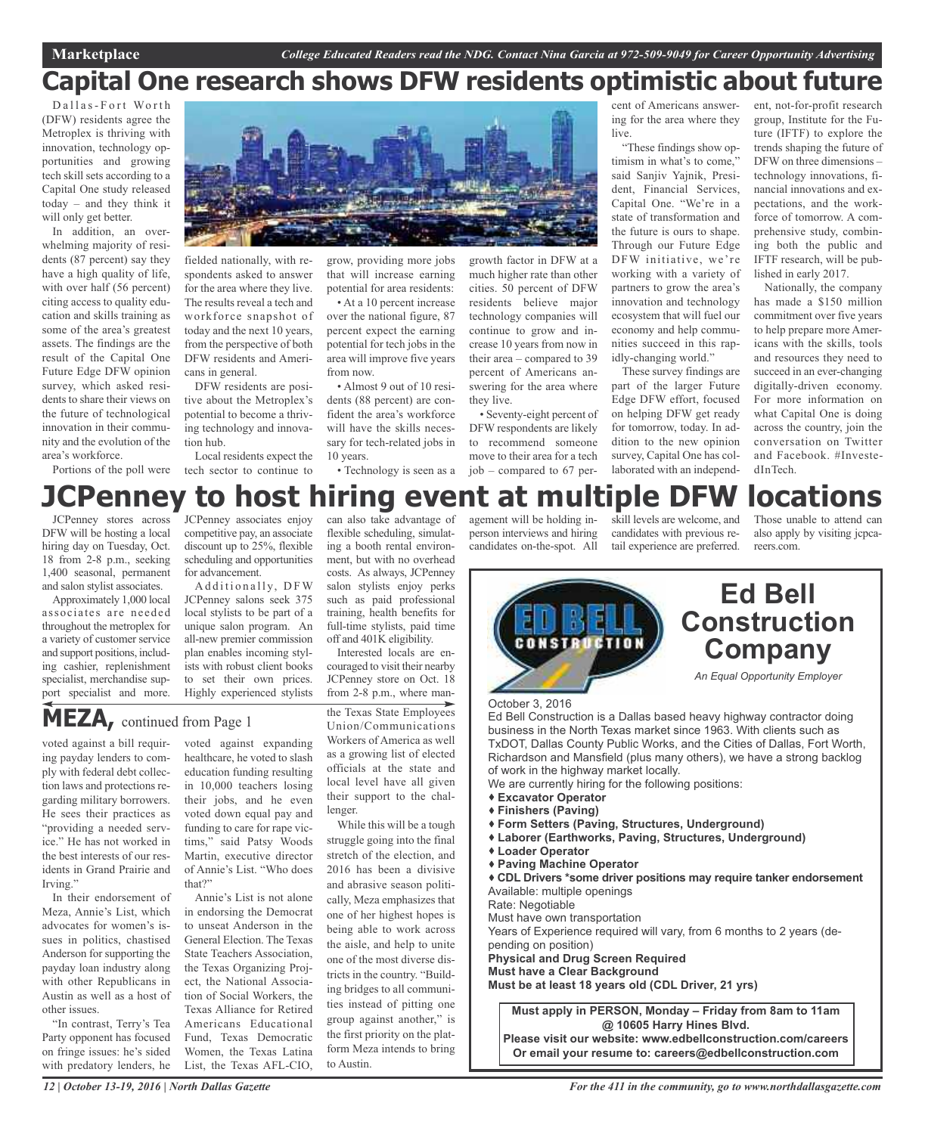## **Capital One research shows DFW residents optimistic about future**

Dallas-Fort Worth (DFW) residents agree the Metroplex is thriving with innovation, technology opportunities and growing tech skill sets according to a Capital One study released today – and they think it will only get better.

In addition, an overwhelming majority of residents (87 percent) say they have a high quality of life, with over half (56 percent) citing access to quality education and skills training as some of the area's greatest assets. The findings are the result of the Capital One Future Edge DFW opinion survey, which asked residents to share their views on the future of technological innovation in their community and the evolution of the area's workforce.

Portions of the poll were



fielded nationally, with respondents asked to answer for the area where they live. The results reveal a tech and workforce snapshot of today and the next 10 years, from the perspective of both DFW residents and Americans in general.

DFW residents are positive about the Metroplex's potential to become a thriving technology and innovation hub.

Local residents expect the tech sector to continue to

grow, providing more jobs that will increase earning potential for area residents:

• At a 10 percent increase over the national figure, 87 percent expect the earning potential for tech jobs in the area will improve five years from now.

• Almost 9 out of 10 residents (88 percent) are confident the area's workforce will have the skills necessary for tech-related jobs in 10 years.

• Technology is seen as a

flexible scheduling, simulating a booth rental environment, but with no overhead costs. As always, JCPenney salon stylists enjoy perks such as paid professional training, health benefits for full-time stylists, paid time off and 401K eligibility. Interested locals are encouraged to visit their nearby JCPenney store on Oct. 18

growth factor in DFW at a much higher rate than other cities. 50 percent of DFW residents believe major technology companies will continue to grow and increase 10 years from now in their area – compared to 39 percent of Americans answering for the area where they live.

• Seventy-eight percent of DFW respondents are likely to recommend someone move to their area for a tech job – compared to 67 percent of Americans answering for the area where they live.

"These findings show optimism in what's to come," said Sanjiv Yajnik, President, Financial Services, Capital One. "We're in a state of transformation and the future is ours to shape. Through our Future Edge DFW initiative, we're working with a variety of partners to grow the area's innovation and technology ecosystem that will fuel our economy and help communities succeed in this rapidly-changing world."

These survey findings are part of the larger Future Edge DFW effort, focused on helping DFW get ready for tomorrow, today. In addition to the new opinion survey, Capital One has collaborated with an independent, not-for-profit research group, Institute for the Future (IFTF) to explore the trends shaping the future of DFW on three dimensions – technology innovations, financial innovations and expectations, and the workforce of tomorrow. A comprehensive study, combining both the public and IFTF research, will be published in early 2017.

Nationally, the company has made a \$150 million commitment over five years to help prepare more Americans with the skills, tools and resources they need to succeed in an ever-changing digitally-driven economy. For more information on what Capital One is doing across the country, join the conversation on Twitter and Facebook. #InvestedInTech.

### can also take advantage of **JCPenney to host hiring event at multiple DFW locations**

JCPenney stores across DFW will be hosting a local hiring day on Tuesday, Oct. 18 from 2-8 p.m., seeking 1,400 seasonal, permanent and salon stylist associates.

Approximately 1,000 local associates are needed throughout the metroplex for a variety of customer service and support positions, including cashier, replenishment specialist, merchandise support specialist and more.

JCPenney associates enjoy competitive pay, an associate discount up to 25%, flexible scheduling and opportunities for advancement.

Additionally, DFW JCPenney salons seek 375 local stylists to be part of a unique salon program. An all-new premier commission plan enables incoming stylists with robust client books to set their own prices. Highly experienced stylists

**MEZA,** continued from Page <sup>1</sup>

voted against a bill requiring payday lenders to comply with federal debt collection laws and protections regarding military borrowers. He sees their practices as "providing a needed service." He has not worked in the best interests of our residents in Grand Prairie and Irving."

In their endorsement of Meza, Annie's List, which advocates for women's issues in politics, chastised Anderson for supporting the payday loan industry along with other Republicans in Austin as well as a host of other issues.

"In contrast, Terry's Tea Party opponent has focused on fringe issues: he's sided with predatory lenders, he

voted against expanding healthcare, he voted to slash education funding resulting in 10,000 teachers losing their jobs, and he even voted down equal pay and funding to care for rape victims," said Patsy Woods Martin, executive director of Annie's List. "Who does that?"

Annie's List is not alone in endorsing the Democrat to unseat Anderson in the General Election. The Texas State Teachers Association, the Texas Organizing Project, the National Association of Social Workers, the Texas Alliance for Retired Americans Educational Fund, Texas Democratic Women, the Texas Latina List, the Texas AFL-CIO,

from 2-8 p.m., where manthe Texas State Employees Union/Communications Workers of America as well as a growing list of elected officials at the state and local level have all given their support to the challenger.

While this will be a tough struggle going into the final stretch of the election, and 2016 has been a divisive and abrasive season politically, Meza emphasizes that one of her highest hopes is being able to work across the aisle, and help to unite one of the most diverse districts in the country. "Building bridges to all communities instead of pitting one group against another," is the first priority on the platform Meza intends to bring to Austin.

agement will be holding inperson interviews and hiring candidates on-the-spot. All skill levels are welcome, and candidates with previous retail experience are preferred.

Those unable to attend can also apply by visiting jcpcareers.com.



**Physical and Drug Screen Required**

**Must have a Clear Background**

**Must be at least 18 years old (CDL Driver, 21 yrs)**

**Must apply in PERSON, Monday – Friday from 8am to 11am @ 10605 Harry Hines Blvd. Please visit our website: www.edbellconstruction.com/careers**

**Or email your resume to: careers@edbellconstruction.com**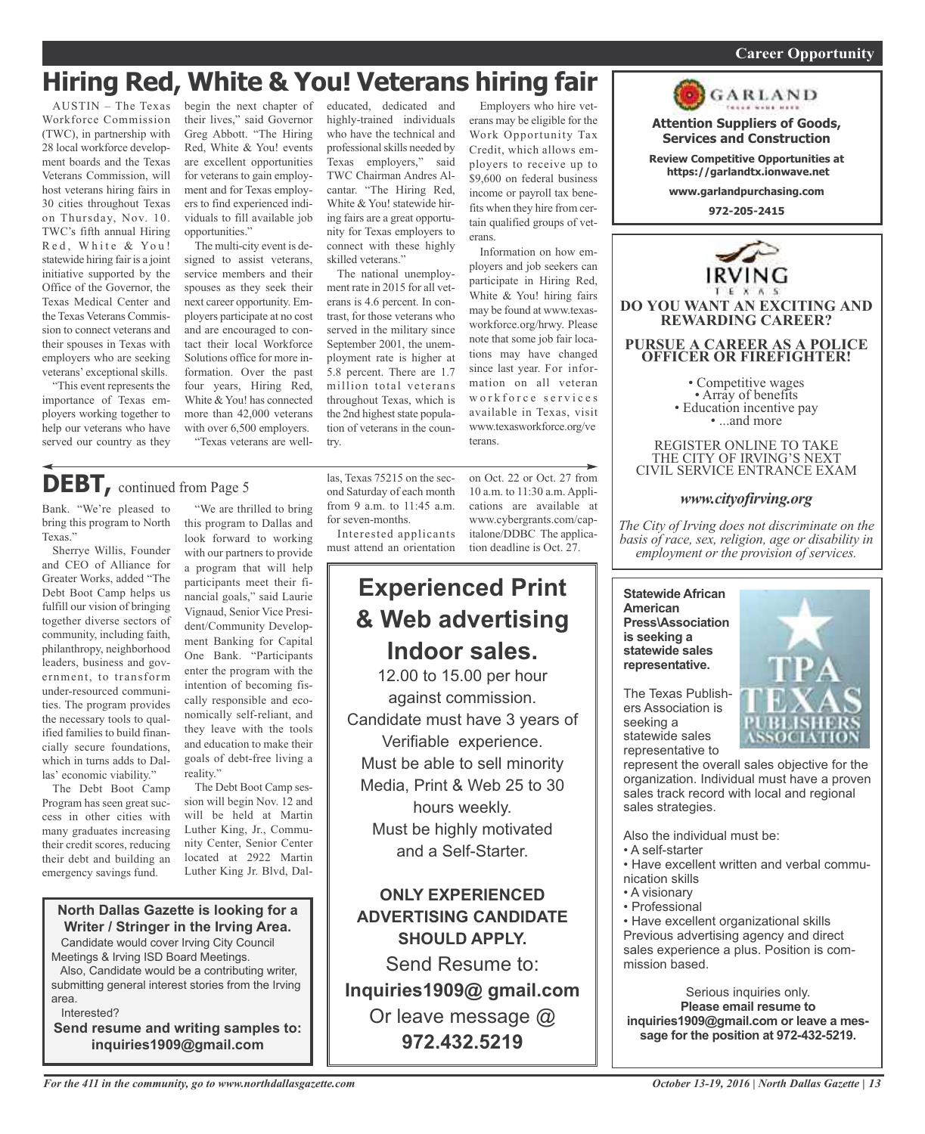#### *On a quest for qualified candidates? Contact Nina Garcia at 972-509-9049* **Career Opportunity**

## **Hiring Red, White & You! Veterans hiring fair**

AUSTIN – The Texas Workforce Commission (TWC), in partnership with 28 local workforce development boards and the Texas Veterans Commission, will host veterans hiring fairs in 30 cities throughout Texas on Thursday, Nov. 10. TWC's fifth annual Hiring Red, White & You! statewide hiring fair is a joint initiative supported by the Office of the Governor, the Texas Medical Center and the Texas Veterans Commission to connect veterans and their spouses in Texas with employers who are seeking veterans' exceptional skills.

"This event represents the importance of Texas employers working together to help our veterans who have served our country as they

begin the next chapter of their lives," said Governor Greg Abbott. "The Hiring Red, White & You! events are excellent opportunities for veterans to gain employment and for Texas employers to find experienced individuals to fill available job opportunities."

The multi-city event is designed to assist veterans, service members and their spouses as they seek their next career opportunity. Employers participate at no cost and are encouraged to contact their local Workforce Solutions office for more information. Over the past four years, Hiring Red, White & You! has connected more than 42,000 veterans with over 6,500 employers. "Texas veterans are well-

this program to Dallas and look forward to working with our partners to provide a program that will help participants meet their financial goals," said Laurie Vignaud, Senior Vice President/Community Developeducated, dedicated and highly-trained individuals who have the technical and professional skills needed by Texas employers," said TWC Chairman Andres Alcantar. "The Hiring Red, White & You! statewide hiring fairs are a great opportunity for Texas employers to connect with these highly skilled veterans."

The national unemployment rate in 2015 for all veterans is 4.6 percent. In contrast, for those veterans who served in the military since September 2001, the unemployment rate is higher at 5.8 percent. There are 1.7 million total veterans throughout Texas, which is the 2nd highest state population of veterans in the country.

las, Texas 75215 on the second Saturday of each month from 9 a.m. to 11:45 a.m.

Interested applicants must attend an orientation

for seven-months.

erans may be eligible for the Work Opportunity Tax Credit, which allows employers to receive up to \$9,600 on federal business income or payroll tax benefits when they hire from certain qualified groups of veterans.

Employers who hire vet-

Information on how employers and job seekers can participate in Hiring Red, White & You! hiring fairs may be found at www.texasworkforce.org/hrwy. Please note that some job fair locations may have changed since last year. For information on all veteran workforce services available in Texas, visit www.texasworkforce.org/ve terans.

on Oct. 22 or Oct. 27 from 10 a.m. to 11:30 a.m. Applications are available at www.cybergrants.com/capitalone/DDBC The application deadline is Oct. 27.

## **Experienced Print & Web advertising Indoor sales.**

12.00 to 15.00 per hour against commission. Candidate must have 3 years of Verifiable experience. Must be able to sell minority Media, Print & Web 25 to 30 hours weekly. Must be highly motivated and a Self-Starter.

**ONLY EXPERIENCED ADVERTISING CANDIDATE SHOULD APPLY.**

Send Resume to: **Inquiries1909@ gmail.com** Or leave message @ **972.432.5219**



REGISTER ONLINE TO TAKE THE CITY OF IRVING'S NEXT CIVIL SERVICE ENTRANCE EXAM

**Attention Suppliers of Goods, Services and Construction Review Competitive Opportunities at https://garlandtx.ionwave.net www.garlandpurchasing.com 972-205-2415**

GARLAND

#### *www.cityofirving.org*

*The City of Irving does not discriminate on the basis of race, sex, religion, age or disability in employment or the provision of services.*

**Statewide African American Press\Association is seeking a statewide sales representative.**

The Texas Publishers Association is seeking a statewide sales representative to



represent the overall sales objective for the organization. Individual must have a proven sales track record with local and regional sales strategies.

Also the individual must be:

- A self-starter
- Have excellent written and verbal communication skills
- A visionary
- Professional

• Have excellent organizational skills Previous advertising agency and direct sales experience a plus. Position is commission based.

Serious inquiries only. **Please email resume to inquiries1909@gmail.com or leave a message for the position at 972-432-5219.**

### "We are thrilled to bring **DEBT,** continued from Page <sup>5</sup>

Bank. "We're pleased to bring this program to North Texas."

Sherrye Willis, Founder and CEO of Alliance for Greater Works, added "The Debt Boot Camp helps us fulfill our vision of bringing together diverse sectors of community, including faith, philanthropy, neighborhood leaders, business and government, to transform under-resourced communities. The program provides the necessary tools to qualified families to build financially secure foundations, which in turns adds to Dallas' economic viability."

The Debt Boot Camp Program has seen great success in other cities with many graduates increasing their credit scores, reducing their debt and building an emergency savings fund.

ment Banking for Capital One Bank. "Participants enter the program with the intention of becoming fiscally responsible and economically self-reliant, and they leave with the tools and education to make their goals of debt-free living a reality." The Debt Boot Camp seswill be held at Martin

sion will begin Nov. 12 and Luther King, Jr., Community Center, Senior Center located at 2922 Martin Luther King Jr. Blvd, Dal-

#### **North Dallas Gazette is looking for a Writer / Stringer in the Irving Area.**

Candidate would cover Irving City Council Meetings & Irving ISD Board Meetings.

Also, Candidate would be a contributing writer, submitting general interest stories from the Irving area.

Interested?

**Send resume and writing samples to: inquiries1909@gmail.com**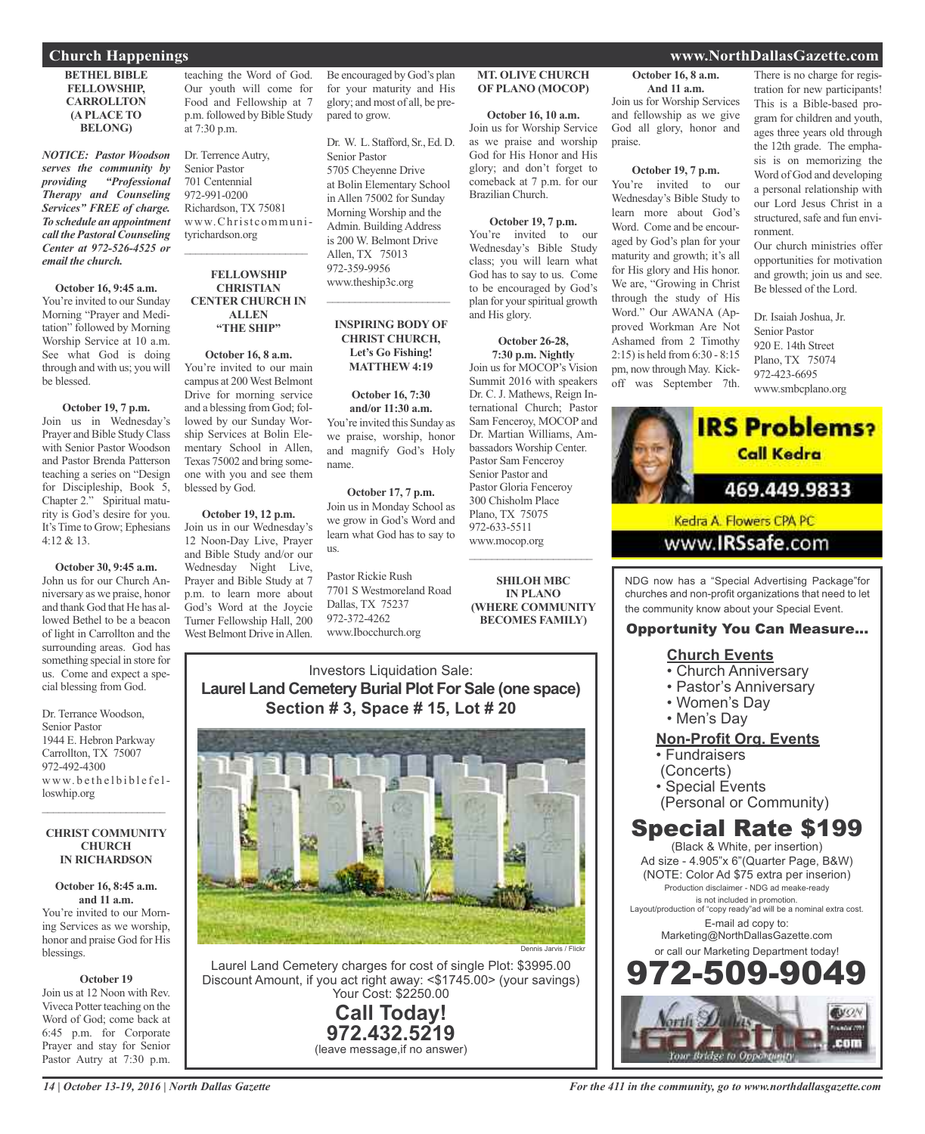**BETHEL BIBLE FELLOWSHIP, CARROLLTON (A PLACE TO BELONG)**

*NOTICE: Pastor Woodson serves the community by providing "Professional Therapy and Counseling Services" FREE of charge. To schedule an appointment call the Pastoral Counseling Center at 972-526-4525 or email the church.*

**October 16, 9:45 a.m.** You're invited to our Sunday Morning "Prayer and Meditation" followed by Morning Worship Service at 10 a.m. See what God is doing through and with us; you will be blessed.

#### **October 19, 7 p.m.**

Join us in Wednesday's Prayer and Bible Study Class with Senior Pastor Woodson and Pastor Brenda Patterson teaching a series on "Design for Discipleship, Book 5, Chapter 2." Spiritual maturity is God's desire for you. It's Time to Grow; Ephesians 4:12 & 13.

### **October 30, 9:45 a.m.**

John us for our Church Anniversary as we praise, honor and thank God that He has allowed Bethel to be a beacon of light in Carrollton and the surrounding areas. God has something special in store for us. Come and expect a special blessing from God.

Dr. Terrance Woodson, Senior Pastor 1944 E. Hebron Parkway Carrollton, TX 75007 972-492-4300 www.bethelbiblefelloswhip.org

#### **CHRIST COMMUNITY CHURCH IN RICHARDSON**

 $\mathcal{L}=\mathcal{L}^{\mathcal{L}}$  , where  $\mathcal{L}^{\mathcal{L}}$  , we have the set of the set of the set of the set of the set of the set of the set of the set of the set of the set of the set of the set of the set of the set of the set of

**October 16, 8:45 a.m. and 11 a.m.** You're invited to our Morning Services as we worship, honor and praise God for His blessings.

#### **October 19**

Join us at 12 Noon with Rev. Viveca Potter teaching on the Word of God; come back at 6:45 p.m. for Corporate Prayer and stay for Senior Pastor Autry at 7:30 p.m.

teaching the Word of God. Our youth will come for Food and Fellowship at 7 p.m. followed by Bible Study at 7:30 p.m.

Dr. Terrence Autry, Senior Pastor 701 Centennial 972-991-0200 Richardson, TX 75081 www.Christcommunityrichardson.org  $\overline{\phantom{a}}$  ,  $\overline{\phantom{a}}$  ,  $\overline{\phantom{a}}$  ,  $\overline{\phantom{a}}$  ,  $\overline{\phantom{a}}$  ,  $\overline{\phantom{a}}$  ,  $\overline{\phantom{a}}$  ,  $\overline{\phantom{a}}$  ,  $\overline{\phantom{a}}$  ,  $\overline{\phantom{a}}$  ,  $\overline{\phantom{a}}$  ,  $\overline{\phantom{a}}$  ,  $\overline{\phantom{a}}$  ,  $\overline{\phantom{a}}$  ,  $\overline{\phantom{a}}$  ,  $\overline{\phantom{a}}$ 

#### **FELLOWSHIP CHRISTIAN CENTER CHURCH IN ALLEN "THE SHIP"**

**October 16, 8 a.m.** You're invited to our main campus at 200West Belmont Drive for morning service and a blessing from God; followed by our Sunday Worship Services at Bolin Elementary School in Allen, Texas 75002 and bring someone with you and see them blessed by God.

**October 19, 12 p.m.** Join us in our Wednesday's 12 Noon-Day Live, Prayer and Bible Study and/or our Wednesday Night Live, Prayer and Bible Study at 7 p.m. to learn more about God's Word at the Joycie Turner Fellowship Hall, 200 West Belmont Drive in Allen.

Be encouraged by God's plan for your maturity and His glory; and most of all, be prepared to grow.

Dr. W. L. Stafford, Sr., Ed. D. Senior Pastor 5705 Cheyenne Drive at Bolin Elementary School in Allen 75002 for Sunday Morning Worship and the Admin. Building Address is 200 W. Belmont Drive Allen, TX 75013 972-359-9956 www.theship3c.org

#### **INSPIRING BODY OF CHRIST CHURCH, Let's Go Fishing! MATTHEW 4:19**

 $\overline{\phantom{a}}$  ,  $\overline{\phantom{a}}$  ,  $\overline{\phantom{a}}$  ,  $\overline{\phantom{a}}$  ,  $\overline{\phantom{a}}$  ,  $\overline{\phantom{a}}$  ,  $\overline{\phantom{a}}$  ,  $\overline{\phantom{a}}$  ,  $\overline{\phantom{a}}$  ,  $\overline{\phantom{a}}$  ,  $\overline{\phantom{a}}$  ,  $\overline{\phantom{a}}$  ,  $\overline{\phantom{a}}$  ,  $\overline{\phantom{a}}$  ,  $\overline{\phantom{a}}$  ,  $\overline{\phantom{a}}$ 

**October 16, 7:30 and/or 11:30 a.m.** You're invited this Sunday as we praise, worship, honor and magnify God's Holy name.

**October 17, 7 p.m.** Join us in Monday School as we grow in God's Word and learn what God has to say to us.

Pastor Rickie Rush 7701 S Westmoreland Road Dallas, TX 75237 972-372-4262 www.Ibocchurch.org

#### **MT. OLIVE CHURCH OF PLANO (MOCOP)** Join us for Worship Services

**October 16, 10 a.m.** Join us for Worship Service as we praise and worship God for His Honor and His glory; and don't forget to comeback at 7 p.m. for our Brazilian Church.

### **October 19, 7 p.m.**

You're invited to our Wednesday's Bible Study class; you will learn what God has to say to us. Come to be encouraged by God's plan for yourspiritual growth and His glory.

**October 26-28, 7:30 p.m. Nightly** Join us for MOCOP's Vision Summit 2016 with speakers Dr. C. J. Mathews, Reign International Church; Pastor Sam Fenceroy, MOCOP and Dr. Martian Williams, Ambassadors Worship Center. Pastor Sam Fenceroy Senior Pastor and Pastor Gloria Fenceroy 300 Chisholm Place Plano, TX 75075 972-633-5511 www.mocop.org

**SHILOH MBC IN PLANO (WHERE COMMUNITY BECOMES FAMILY)**

 $\overline{\phantom{a}}$  ,  $\overline{\phantom{a}}$  ,  $\overline{\phantom{a}}$  ,  $\overline{\phantom{a}}$  ,  $\overline{\phantom{a}}$  ,  $\overline{\phantom{a}}$  ,  $\overline{\phantom{a}}$  ,  $\overline{\phantom{a}}$  ,  $\overline{\phantom{a}}$  ,  $\overline{\phantom{a}}$  ,  $\overline{\phantom{a}}$  ,  $\overline{\phantom{a}}$  ,  $\overline{\phantom{a}}$  ,  $\overline{\phantom{a}}$  ,  $\overline{\phantom{a}}$  ,  $\overline{\phantom{a}}$ 

Investors Liquidation Sale: **Laurel Land Cemetery Burial Plot For Sale (one space) Section # 3, Space # 15, Lot # 20**



Laurel Land Cemetery charges for cost of single Plot: \$3995.00 Discount Amount, if you act right away: <\$1745.00> (your savings) Your Cost: \$2250.00

> **Call Today! 972.432.5219** (leave message,if no answer)

### **Church Happenings www.NorthDallasGazette.com**

ronment.

**October 16, 8 a.m. And 11 a.m.**

and fellowship as we give God all glory, honor and

**October 19, 7 p.m.** You're invited to our Wednesday's Bible Study to learn more about God's Word. Come and be encouraged by God's plan for your maturity and growth; it's all for His glory and His honor. We are, "Growing in Christ through the study of His Word." Our AWANA (Approved Workman Are Not Ashamed from 2 Timothy 2:15) is held from 6:30 - 8:15 pm, now through May. Kickoff was September 7th.

praise.

There is no charge for registration for new participants! This is a Bible-based program for children and youth, ages three years old through the 12th grade. The emphasis is on memorizing the Word of God and developing a personal relationship with our Lord Jesus Christ in a structured, safe and fun envi-

Our church ministries offer opportunities for motivation and growth; join us and see. Be blessed of the Lord.

Dr. Isaiah Joshua, Jr. Senior Pastor 920 E. 14th Street Plano, TX 75074 972-423-6695 www.smbcplano.org



```
www.IRSsafe.com
```
NDG now has a "Special Advertising Package"for churches and non-profit organizations that need to let the community know about your Special Event.

### Opportunity You Can Measure...

### **Church Events**

- Church Anniversary
- Pastor's Anniversary
- Women's Day
- Men's Day

### **Non-Profit Org. Events**

- Fundraisers
- (Concerts)
- Special Events
- (Personal or Community)

## Special Rate \$199

(Black & White, per insertion) Ad size - 4.905"x 6"(Quarter Page, B&W) (NOTE: Color Ad \$75 extra per inserion) Production disclaimer - NDG ad meake-ready is not included in promotion. Layout/production of "copy ready"ad will be a nominal extra cost. E-mail ad copy to: Marketing@NorthDallasGazette.com or call our Marketing Department today! 972-509-9049

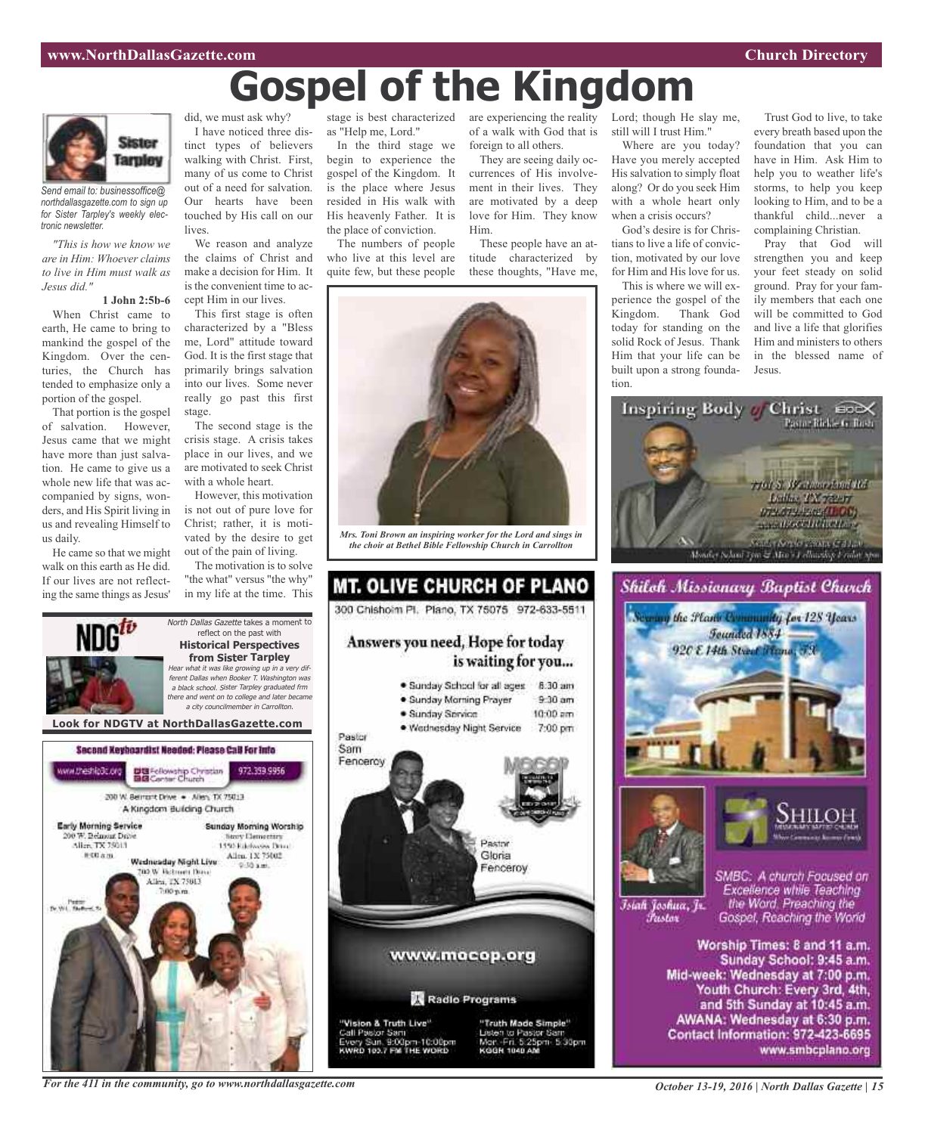# **Gospel of the Kingdom**



*Send email to: businessoffice@ northdallasgazette.com to sign up for Sister Tarpley's weekly electronic newsletter.*

*"This is how we know we are in Him: Whoever claims to live in Him must walk as Jesus did."*

#### **1 John 2:5b-6**

When Christ came to earth, He came to bring to mankind the gospel of the Kingdom. Over the centuries, the Church has tended to emphasize only a portion of the gospel.

That portion is the gospel of salvation. However, Jesus came that we might have more than just salvation. He came to give us a whole new life that was accompanied by signs, wonders, and His Spirit living in us and revealing Himself to us daily.

He came so that we might walk on this earth as He did. If our lives are not reflecting the same things as Jesus'

did, we must ask why? I have noticed three distinct types of believers walking with Christ. First, many of us come to Christ out of a need for salvation. Our hearts have been touched by His call on our lives.

We reason and analyze the claims of Christ and make a decision for Him. It is the convenient time to accept Him in our lives.

This first stage is often characterized by a "Bless me, Lord" attitude toward God. It is the first stage that primarily brings salvation into our lives. Some never really go past this first stage.

The second stage is the crisis stage. A crisis takes place in our lives, and we are motivated to seek Christ with a whole heart.

However, this motivation is not out of pure love for Christ; rather, it is motivated by the desire to get out of the pain of living.

The motivation is to solve "the what" versus "the why" in my life at the time. This

North Dallas Gazette takes a moment to reflect on the past with **Historical Perspectives from Sister Tarpley** Hear what it was like growing up in <sup>a</sup> very different Dallas when Booker T. Washington was

<sup>a</sup> city councilmember in Carrollton.

stage is best characterized as "Help me, Lord."

In the third stage we begin to experience the gospel of the Kingdom. It is the place where Jesus resided in His walk with His heavenly Father. It is the place of conviction.

The numbers of people who live at this level are quite few, but these people

are experiencing the reality Lord; though He slay me, of a walk with God that is foreign to all others.

They are seeing daily occurrences of His involvement in their lives. They are motivated by a deep love for Him. They know Him.

These people have an attitude characterized by these thoughts, "Have me,



*Mrs. Toni Brown an inspiring worker for the Lord and sings in the choir at Bethel Bible Fellowship Church in Carrollton*

### **MT. OLIVE CHURCH OF PLANO** 300 Chishoim Pl. Plano, TX 75075 972-633-5511 Answers you need, Hope for today is waiting for you... · Sunday School for all ages 8:30 am · Sunday Morning Prayer  $9.30$  am · Sunday Service  $10:00$  am · Wednesday Night Service 7:00 pm Pastor Sam Fenceroy **BASTOR** Gloria Fenceroy www.mocop.org Radio Programs "Vision & Truth Live" "Truth Made Simple"

<sup>a</sup> black school. Sister Tarpley graduated frm there and went on to college and later became Call Pastor Sam Jisten to Pastor St y Sun. 9:00pm-10:00pm<br>D 193.7 FM THE WORD Mort ۰Fri 5:25pm 5:30pm KGGH 1040

still will I trust Him." Where are you today?

Have you merely accepted His salvation to simply float along? Or do you seek Him with a whole heart only when a crisis occurs?

God's desire is for Christians to live a life of conviction, motivated by our love for Him and His love for us.

This is where we will experience the gospel of the Kingdom. Thank God today for standing on the solid Rock of Jesus. Thank Him that your life can be built upon a strong foundation.

Trust God to live, to take every breath based upon the foundation that you can have in Him. Ask Him to help you to weather life's storms, to help you keep looking to Him, and to be a thankful child...never a complaining Christian.

Pray that God will strengthen you and keep your feet steady on solid ground. Pray for your family members that each one will be committed to God and live a life that glorifies Him and ministers to others in the blessed name of Jesus.









Islah Joshua, Jr. Fustor

SMBC: A church Focused on Excellence while Teaching the Word. Preaching the Gospel, Reaching the World

Worship Times: 8 and 11 a.m. Sunday School: 9:45 a.m. Mid-week: Wednesday at 7:00 p.m. Youth Church: Every 3rd, 4th, and 5th Sunday at 10:45 a.m. AWANA: Wednesday at 6:30 p.m. Contact Information: 972-423-6695 www.smbcplano.org



*For the 411 in the community, go to www.northdallasgazette.com*